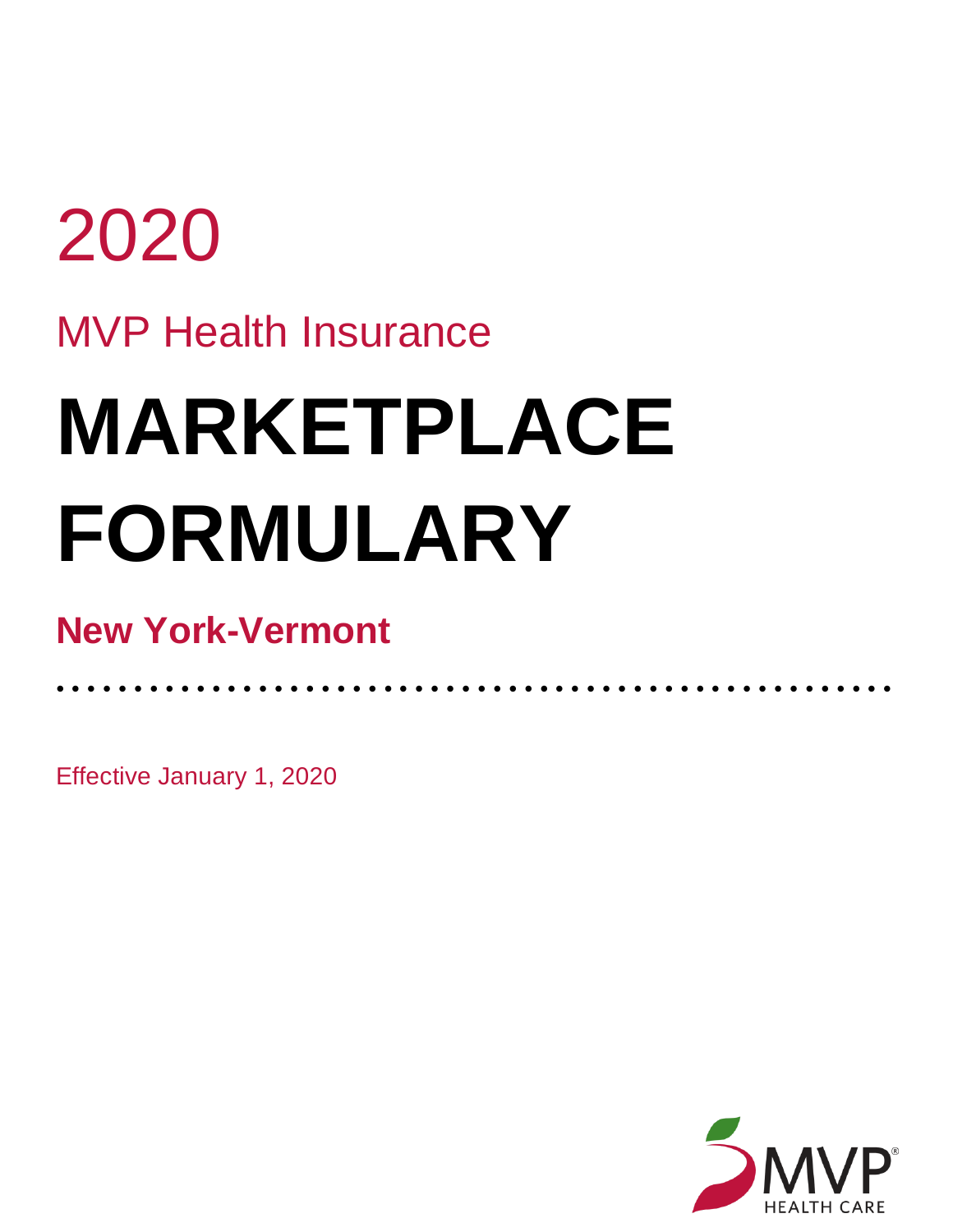## 2020 MVP Health Insurance **MARKETPLACE FORMULARY**

• • • • • • • • • • • • • • • • • • • • • • • • • • • • • • • • • • • • • • • • • • • • • • • • • • • • • •

## **New York-Vermont**

Effective January 1, 2020

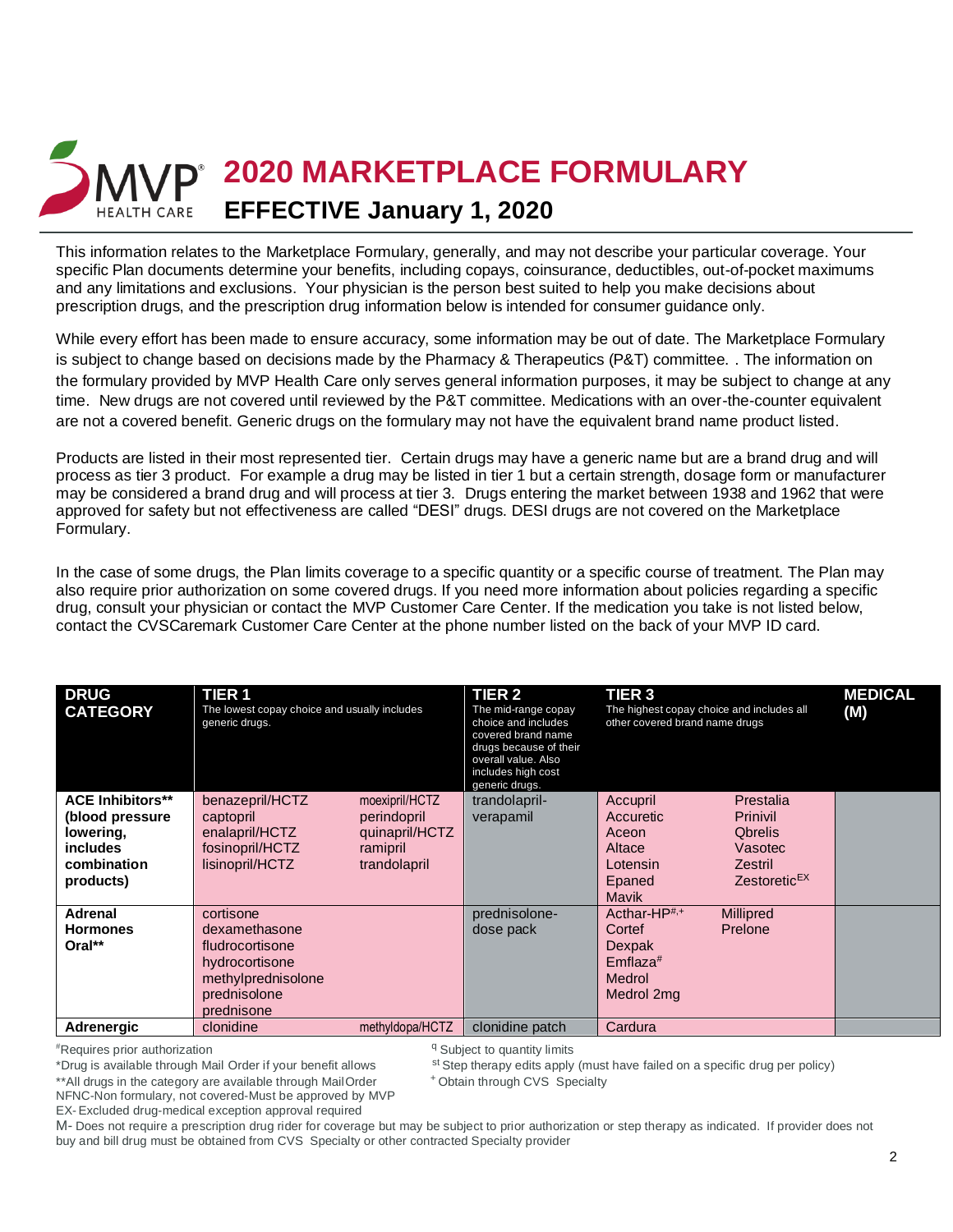

This information relates to the Marketplace Formulary, generally, and may not describe your particular coverage. Your specific Plan documents determine your benefits, including copays, coinsurance, deductibles, out-of-pocket maximums and any limitations and exclusions. Your physician is the person best suited to help you make decisions about prescription drugs, and the prescription drug information below is intended for consumer guidance only.

While every effort has been made to ensure accuracy, some information may be out of date. The Marketplace Formulary is subject to change based on decisions made by the Pharmacy & Therapeutics (P&T) committee. . The information on the formulary provided by MVP Health Care only serves general information purposes, it may be subject to change at any time. New drugs are not covered until reviewed by the P&T committee. Medications with an over-the-counter equivalent are not a covered benefit. Generic drugs on the formulary may not have the equivalent brand name product listed.

Products are listed in their most represented tier. Certain drugs may have a generic name but are a brand drug and will process as tier 3 product. For example a drug may be listed in tier 1 but a certain strength, dosage form or manufacturer may be considered a brand drug and will process at tier 3. Drugs entering the market between 1938 and 1962 that were approved for safety but not effectiveness are called "DESI" drugs. DESI drugs are not covered on the Marketplace Formulary.

In the case of some drugs, the Plan limits coverage to a specific quantity or a specific course of treatment. The Plan may also require prior authorization on some covered drugs. If you need more information about policies regarding a specific drug, consult your physician or contact the MVP Customer Care Center. If the medication you take is not listed below, contact the CVSCaremark Customer Care Center at the phone number listed on the back of your MVP ID card.

| <b>DRUG</b><br><b>CATEGORY</b>                                                                   | <b>TIER1</b><br>The lowest copay choice and usually includes<br>generic drugs.                                      |                                                                             | <b>TIER 2</b><br>The mid-range copay<br>choice and includes<br>covered brand name<br>drugs because of their<br>overall value. Also<br>includes high cost<br>generic drugs. | TIER <sub>3</sub><br>The highest copay choice and includes all<br>other covered brand name drugs |                                                                                           | <b>MEDICAL</b><br>(M) |
|--------------------------------------------------------------------------------------------------|---------------------------------------------------------------------------------------------------------------------|-----------------------------------------------------------------------------|----------------------------------------------------------------------------------------------------------------------------------------------------------------------------|--------------------------------------------------------------------------------------------------|-------------------------------------------------------------------------------------------|-----------------------|
| <b>ACE Inhibitors**</b><br>(blood pressure)<br>lowering,<br>includes<br>combination<br>products) | benazepril/HCTZ<br>captopril<br>enalapril/HCTZ<br>fosinopril/HCTZ<br>lisinopril/HCTZ                                | moexipril/HCTZ<br>perindopril<br>quinapril/HCTZ<br>ramipril<br>trandolapril | trandolapril-<br>verapamil                                                                                                                                                 | Accupril<br>Accuretic<br>Aceon<br>Altace<br>Lotensin<br>Epaned<br>Mavik                          | Prestalia<br>Prinivil<br><b>Obrelis</b><br>Vasotec<br>Zestril<br>Zestoretic <sup>EX</sup> |                       |
| Adrenal<br><b>Hormones</b><br>Oral**                                                             | cortisone<br>dexamethasone<br>fludrocortisone<br>hydrocortisone<br>methylprednisolone<br>prednisolone<br>prednisone |                                                                             | prednisolone-<br>dose pack                                                                                                                                                 | Acthar-HP <sup>#,+</sup><br>Cortef<br>Dexpak<br>$Emflaza$ <sup>#</sup><br>Medrol<br>Medrol 2mg   | <b>Millipred</b><br>Prelone                                                               |                       |
| Adrenergic                                                                                       | clonidine                                                                                                           | methyldopa/HCTZ                                                             | clonidine patch                                                                                                                                                            | Cardura                                                                                          |                                                                                           |                       |

#Requires prior authorization

<sup>q</sup> Subject to quantity limits

st Step therapy edits apply (must have failed on a specific drug per policy)

<sup>+</sup> Obtain through CVS Specialty

\*Drug is available through Mail Order if your benefit allows \*\*All drugs in the category are available through MailOrder NFNC-Non formulary, not covered-Must be approved by MVP

EX- Excluded drug-medical exception approval required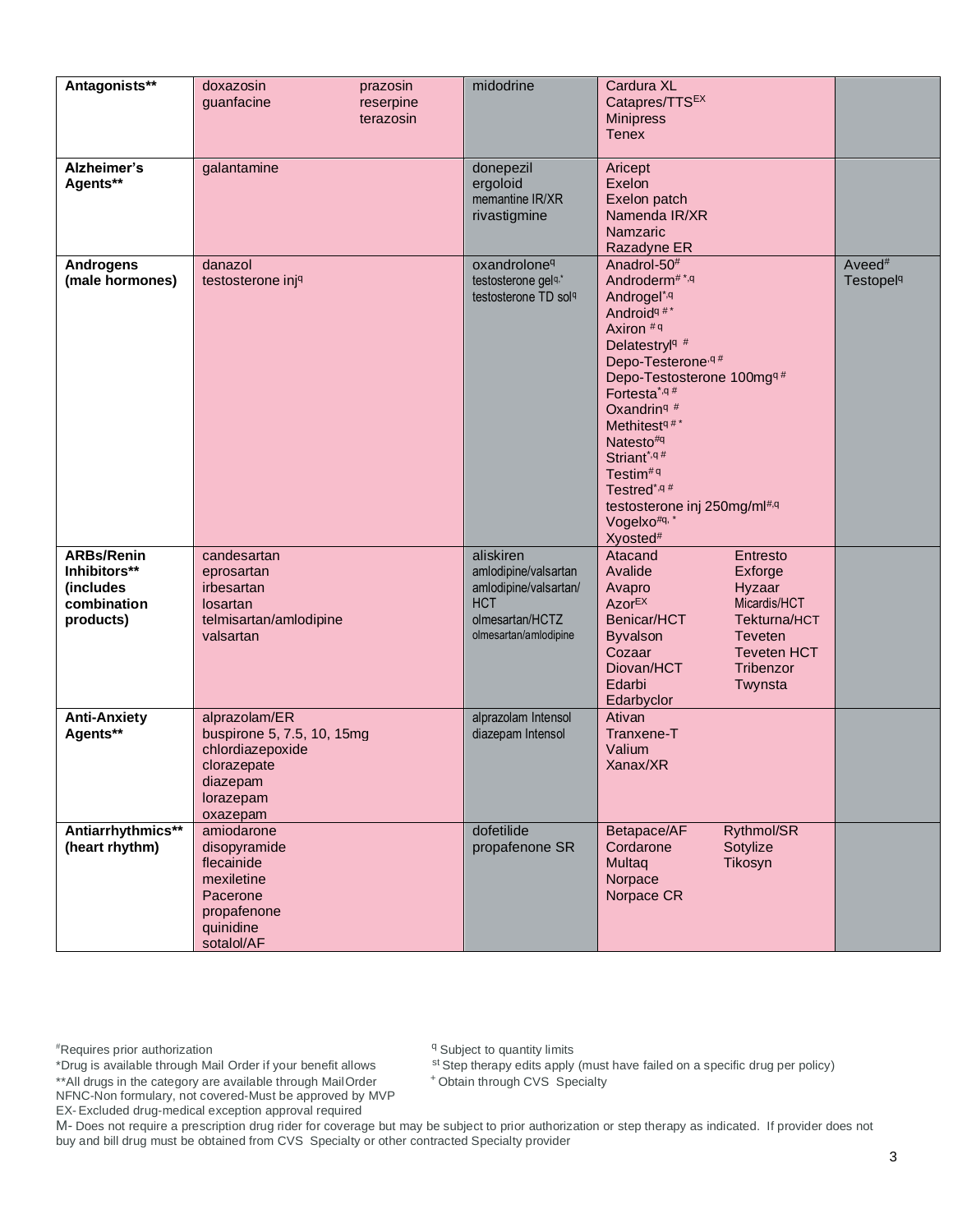| Antagonists**                                                              | doxazosin<br>prazosin<br>guanfacine<br>reserpine<br>terazosin                                                       | midodrine                                                                                                            | Cardura XL<br>Catapres/TTSEX<br><b>Minipress</b><br><b>Tenex</b>                                                                                                                                                                                                                                                                                                                                                                                            |                                                   |
|----------------------------------------------------------------------------|---------------------------------------------------------------------------------------------------------------------|----------------------------------------------------------------------------------------------------------------------|-------------------------------------------------------------------------------------------------------------------------------------------------------------------------------------------------------------------------------------------------------------------------------------------------------------------------------------------------------------------------------------------------------------------------------------------------------------|---------------------------------------------------|
| Alzheimer's<br>Agents**                                                    | galantamine                                                                                                         | donepezil<br>ergoloid<br>memantine IR/XR<br>rivastigmine                                                             | Aricept<br>Exelon<br>Exelon patch<br>Namenda IR/XR<br>Namzaric<br>Razadyne ER                                                                                                                                                                                                                                                                                                                                                                               |                                                   |
| <b>Androgens</b><br>(male hormones)                                        | danazol<br>testosterone inj <sup>q</sup>                                                                            | oxandrolone <sup>q</sup><br>testosterone gelq,*<br>testosterone TD sol <sup>q</sup>                                  | Anadrol-50 <sup>#</sup><br>Androderm <sup>#*,q</sup><br>Androgel <sup>*,q</sup><br>Android <sup>q#*</sup><br>Axiron #9<br>Delatestryl <sup>q#</sup><br>Depo-Testerone, q#<br>Depo-Testosterone 100mg <sup>q#</sup><br>Fortesta <sup>*,q#</sup><br>Oxandrin <sup>q#</sup><br>Methitest <sup>q#*</sup><br>Natesto#q<br>Striant*,q#<br>Testim <sup>#q</sup><br>Testred*,q#<br>testosterone inj 250mg/ml#,q<br>Vogelxo <sup>#q, '</sup><br>Xyosted <sup>#</sup> | Aveed <sup>#</sup><br><b>Testopel<sup>q</sup></b> |
| <b>ARBs/Renin</b><br>Inhibitors**<br>(includes<br>combination<br>products) | candesartan<br>eprosartan<br>irbesartan<br>losartan<br>telmisartan/amlodipine<br>valsartan                          | aliskiren<br>amlodipine/valsartan<br>amlodipine/valsartan/<br><b>HCT</b><br>olmesartan/HCTZ<br>olmesartan/amlodipine | Atacand<br>Entresto<br>Avalide<br>Exforge<br>Avapro<br>Hyzaar<br><b>AzorEX</b><br>Micardis/HCT<br>Benicar/HCT<br>Tekturna/HCT<br><b>Byvalson</b><br><b>Teveten</b><br>Cozaar<br><b>Teveten HCT</b><br>Tribenzor<br>Diovan/HCT<br>Edarbi<br>Twynsta<br>Edarbyclor                                                                                                                                                                                            |                                                   |
| <b>Anti-Anxiety</b><br>Agents**                                            | alprazolam/ER<br>buspirone 5, 7.5, 10, 15mg<br>chlordiazepoxide<br>clorazepate<br>diazepam<br>lorazepam<br>oxazepam | alprazolam Intensol<br>diazepam Intensol                                                                             | Ativan<br>Tranxene-T<br>Valium<br>Xanax/XR                                                                                                                                                                                                                                                                                                                                                                                                                  |                                                   |
| Antiarrhythmics**<br>(heart rhythm)                                        | amiodarone<br>disopyramide<br>flecainide<br>mexiletine<br>Pacerone<br>propafenone<br>quinidine<br>sotalol/AF        | dofetilide<br>propafenone SR                                                                                         | Betapace/AF<br>Rythmol/SR<br>Cordarone<br>Sotylize<br>Multaq<br>Tikosyn<br>Norpace<br>Norpace CR                                                                                                                                                                                                                                                                                                                                                            |                                                   |

\*Drug is available through Mail Order if your benefit allows \*\* All drugs in the category are available through Mail Order NFNC-Non formulary, not covered-Must be approved by MVP <sup>q</sup> Subject to quantity limits

st Step therapy edits apply (must have failed on a specific drug per policy)

+Obtain through CVS Specialty

EX-Excluded drug-medical exception approval required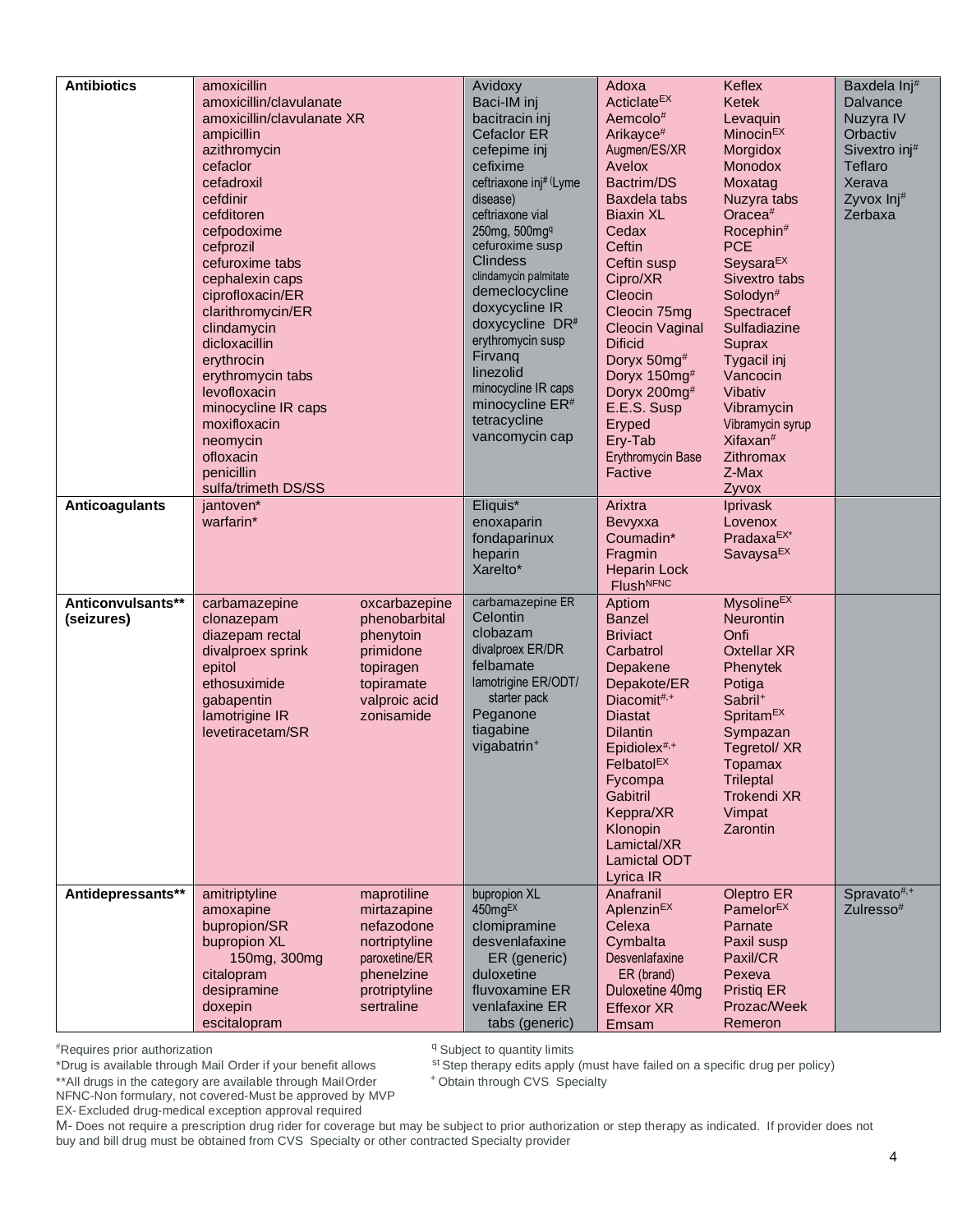| <b>Antibiotics</b>              | amoxicillin<br>amoxicillin/clavulanate<br>amoxicillin/clavulanate XR<br>ampicillin<br>azithromycin<br>cefaclor<br>cefadroxil<br>cefdinir<br>cefditoren<br>cefpodoxime<br>cefprozil<br>cefuroxime tabs<br>cephalexin caps<br>ciprofloxacin/ER<br>clarithromycin/ER<br>clindamycin<br>dicloxacillin<br>erythrocin<br>erythromycin tabs<br>levofloxacin<br>minocycline IR caps<br>moxifloxacin<br>neomycin<br>ofloxacin<br>penicillin<br>sulfa/trimeth DS/SS<br>jantoven* | Avidoxy<br>Baci-IM inj<br>bacitracin inj<br><b>Cefaclor ER</b><br>cefepime inj<br>cefixime<br>ceftriaxone inj# (Lyme<br>disease)<br>ceftriaxone vial<br>250mg, 500mgq<br>cefuroxime susp<br><b>Clindess</b><br>clindamycin palmitate<br>demeclocycline<br>doxycycline IR<br>doxycycline DR#<br>erythromycin susp<br>Firvang<br>linezolid<br>minocycline IR caps<br>minocycline ER <sup>#</sup><br>tetracycline<br>vancomycin cap<br>Eliquis* | Adoxa<br>Acticlate <sup>EX</sup><br>Aemcolo#<br>Arikayce <sup>#</sup><br>Augmen/ES/XR<br>Avelox<br>Bactrim/DS<br>Baxdela tabs<br><b>Biaxin XL</b><br>Cedax<br>Ceftin<br>Ceftin susp<br>Cipro/XR<br>Cleocin<br>Cleocin 75mg<br>Cleocin Vaginal<br><b>Dificid</b><br>Doryx 50mg#<br>Doryx 150mg#<br>Doryx 200mg#<br>E.E.S. Susp<br>Eryped<br>Ery-Tab<br>Erythromycin Base<br>Factive<br>Arixtra | Keflex<br>Ketek<br>Levaquin<br>Minocin <sup>EX</sup><br>Morgidox<br><b>Monodox</b><br>Moxatag<br>Nuzyra tabs<br>Oracea <sup>#</sup><br>Rocephin#<br><b>PCE</b><br>Seysara <sup>EX</sup><br>Sivextro tabs<br>Solodyn <sup>#</sup><br>Spectracef<br>Sulfadiazine<br>Suprax<br>Tygacil inj<br>Vancocin<br>Vibativ<br>Vibramycin<br>Vibramycin syrup<br>Xifaxan <sup>#</sup><br>Zithromax<br>Z-Max<br>Zyvox | Baxdela Inj#<br>Dalvance<br>Nuzyra IV<br>Orbactiv<br>Sivextro inj#<br>Teflaro<br>Xerava<br>Zyvox Inj#<br>Zerbaxa |
|---------------------------------|------------------------------------------------------------------------------------------------------------------------------------------------------------------------------------------------------------------------------------------------------------------------------------------------------------------------------------------------------------------------------------------------------------------------------------------------------------------------|----------------------------------------------------------------------------------------------------------------------------------------------------------------------------------------------------------------------------------------------------------------------------------------------------------------------------------------------------------------------------------------------------------------------------------------------|-----------------------------------------------------------------------------------------------------------------------------------------------------------------------------------------------------------------------------------------------------------------------------------------------------------------------------------------------------------------------------------------------|---------------------------------------------------------------------------------------------------------------------------------------------------------------------------------------------------------------------------------------------------------------------------------------------------------------------------------------------------------------------------------------------------------|------------------------------------------------------------------------------------------------------------------|
| Anticoagulants                  | warfarin*                                                                                                                                                                                                                                                                                                                                                                                                                                                              | enoxaparin<br>fondaparinux<br>heparin<br>Xarelto*                                                                                                                                                                                                                                                                                                                                                                                            | Bevyxxa<br>Coumadin*<br>Fragmin<br><b>Heparin Lock</b><br><b>FlushNFNC</b>                                                                                                                                                                                                                                                                                                                    | <b>Iprivask</b><br>Lovenox<br>PradaxaEX*<br>SavaysaEX                                                                                                                                                                                                                                                                                                                                                   |                                                                                                                  |
| Anticonvulsants**<br>(seizures) | carbamazepine<br>oxcarbazepine<br>phenobarbital<br>clonazepam<br>phenytoin<br>diazepam rectal<br>divalproex sprink<br>primidone<br>epitol<br>topiragen<br>ethosuximide<br>topiramate<br>valproic acid<br>gabapentin<br>lamotrigine IR<br>zonisamide<br>levetiracetam/SR                                                                                                                                                                                                | carbamazepine ER<br>Celontin<br>clobazam<br>divalproex ER/DR<br>felbamate<br>lamotrigine ER/ODT/<br>starter pack<br>Peganone<br>tiagabine<br>vigabatrin <sup>+</sup>                                                                                                                                                                                                                                                                         | Aptiom<br><b>Banzel</b><br><b>Briviact</b><br>Carbatrol<br>Depakene<br>Depakote/ER<br>Diacomit#,+<br><b>Diastat</b><br><b>Dilantin</b><br>Epidiolex <sup>#,+</sup><br>Felbatol <sup>EX</sup><br>Fycompa<br>Gabitril<br>Keppra/XR<br>Klonopin<br>Lamictal/XR<br>Lamictal ODT<br>Lyrica IR                                                                                                      | <b>Mysoline<sup>EX</sup></b><br><b>Neurontin</b><br>Onfi<br><b>Oxtellar XR</b><br>Phenytek<br>Potiga<br>Sabril <sup>+</sup><br>Spritam <sup>EX</sup><br>Sympazan<br>Tegretol/XR<br><b>Topamax</b><br><b>Trileptal</b><br><b>Trokendi XR</b><br>Vimpat<br>Zarontin                                                                                                                                       |                                                                                                                  |
| Antidepressants**               | amitriptyline<br>maprotiline<br>amoxapine<br>mirtazapine<br>bupropion/SR<br>nefazodone<br>bupropion XL<br>nortriptyline<br>150mg, 300mg<br>paroxetine/ER<br>phenelzine<br>citalopram<br>desipramine<br>protriptyline<br>sertraline<br>doxepin<br>escitalopram                                                                                                                                                                                                          | bupropion XL<br>450mgEX<br>clomipramine<br>desvenlafaxine<br>ER (generic)<br>duloxetine<br>fluvoxamine ER<br>venlafaxine ER<br>tabs (generic)                                                                                                                                                                                                                                                                                                | Anafranil<br>Aplenzin <sup>EX</sup><br>Celexa<br>Cymbalta<br><b>Desvenlafaxine</b><br>ER (brand)<br>Duloxetine 40mg<br><b>Effexor XR</b><br>Emsam                                                                                                                                                                                                                                             | Oleptro ER<br>Pamelor <sup>EX</sup><br>Parnate<br>Paxil susp<br>Paxil/CR<br>Pexeva<br><b>Pristig ER</b><br>Prozac/Week<br>Remeron                                                                                                                                                                                                                                                                       | Spravato <sup>#,+</sup><br>Zulresso <sup>#</sup>                                                                 |

<sup>q</sup> Subject to quantity limits

st Step therapy edits apply (must have failed on a specific drug per policy)

<sup>+</sup> Obtain through CVS Specialty

\*\*All drugs in the category are available through MailOrder NFNC-Non formulary, not covered-Must be approved by MVP

EX- Excluded drug-medical exception approval required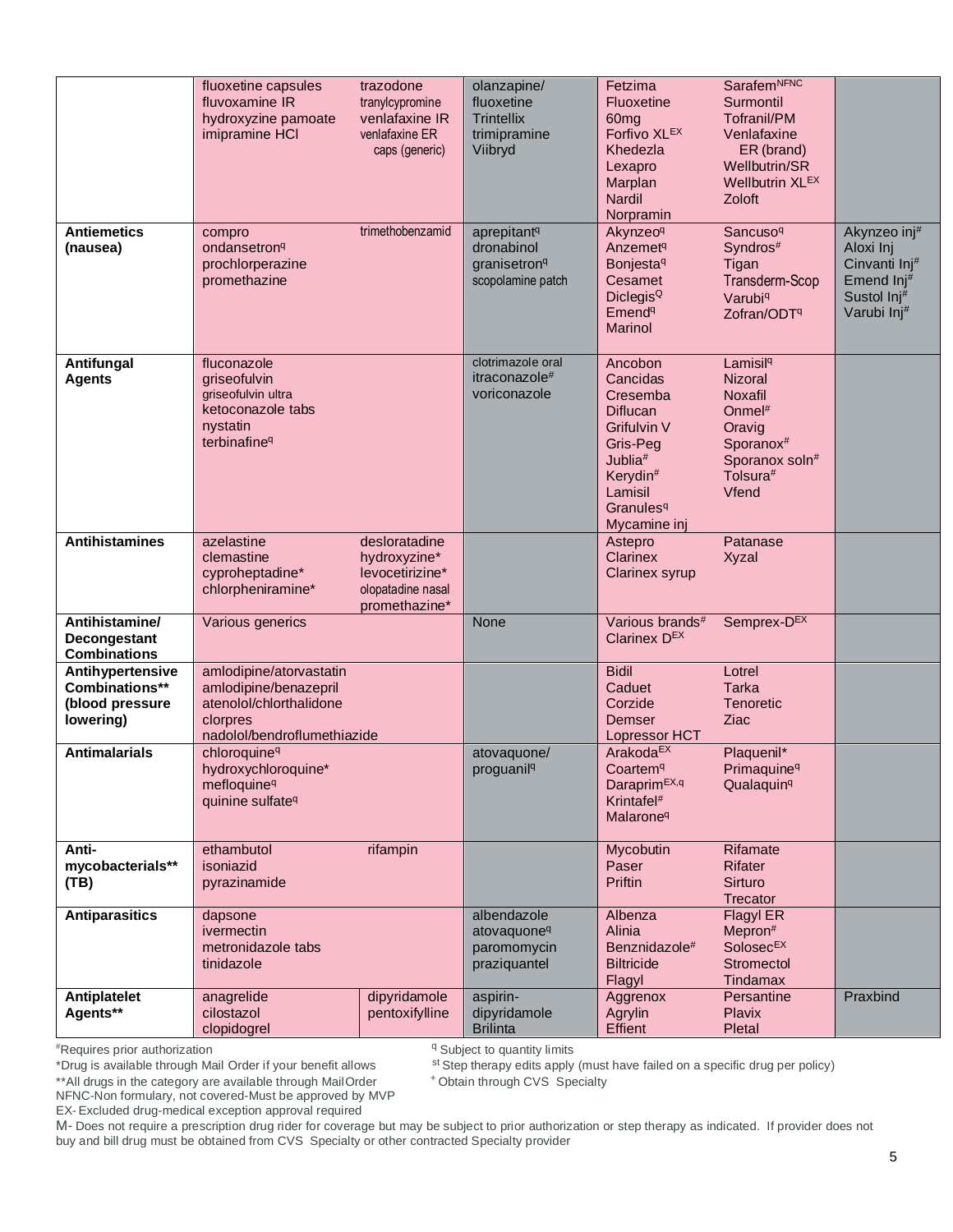|                                                                    | fluoxetine capsules<br>fluvoxamine IR<br>hydroxyzine pamoate<br>imipramine HCI                                         | trazodone<br>tranylcypromine<br>venlafaxine IR<br>venlafaxine ER<br>caps (generic)     | olanzapine/<br>fluoxetine<br><b>Trintellix</b><br>trimipramine<br>Viibryd              | Fetzima<br>Fluoxetine<br>60 <sub>mg</sub><br>Forfivo XLEX<br>Khedezla<br>Lexapro<br>Marplan<br><b>Nardil</b><br>Norpramin                                                 | <b>SarafemNFNC</b><br>Surmontil<br><b>Tofranil/PM</b><br>Venlafaxine<br>ER (brand)<br>Wellbutrin/SR<br>Wellbutrin XLEX<br>Zoloft                |                                                                                                    |
|--------------------------------------------------------------------|------------------------------------------------------------------------------------------------------------------------|----------------------------------------------------------------------------------------|----------------------------------------------------------------------------------------|---------------------------------------------------------------------------------------------------------------------------------------------------------------------------|-------------------------------------------------------------------------------------------------------------------------------------------------|----------------------------------------------------------------------------------------------------|
| <b>Antiemetics</b><br>(nausea)                                     | compro<br>ondansetron <sup>q</sup><br>prochlorperazine<br>promethazine                                                 | trimethobenzamid                                                                       | aprepitant <sup>q</sup><br>dronabinol<br>granisetron <sup>q</sup><br>scopolamine patch | Akynzeo <sup>q</sup><br>Anzemet <sup>q</sup><br><b>Bonjesta<sup>q</sup></b><br>Cesamet<br>Diclegis <sup>Q</sup><br>Emend <sup>q</sup><br>Marinol                          | Sancuso <sup>q</sup><br>Syndros#<br>Tigan<br>Transderm-Scop<br>Varubi <sup>q</sup><br>Zofran/ODT <sup>q</sup>                                   | Akynzeo inj#<br>Aloxi Inj<br>Cinvanti Inj <sup>#</sup><br>Emend Inj#<br>Sustol Inj#<br>Varubi Inj# |
| Antifungal<br><b>Agents</b>                                        | fluconazole<br>griseofulvin<br>griseofulvin ultra<br>ketoconazole tabs<br>nystatin<br>terbinafine <sup>q</sup>         |                                                                                        | clotrimazole oral<br>itraconazole#<br>voriconazole                                     | Ancobon<br>Cancidas<br>Cresemba<br>Diflucan<br>Grifulvin V<br>Gris-Peg<br>Jublia <sup>#</sup><br>Kerydin <sup>#</sup><br>Lamisil<br>Granules <sup>q</sup><br>Mycamine inj | Lamisil <sup>q</sup><br><b>Nizoral</b><br><b>Noxafil</b><br>Onmel $#$<br>Oravig<br>Sporanox <sup>#</sup><br>Sporanox soln#<br>Tolsura#<br>Vfend |                                                                                                    |
| <b>Antihistamines</b>                                              | azelastine<br>clemastine<br>cyproheptadine*<br>chlorpheniramine*                                                       | desloratadine<br>hydroxyzine*<br>levocetirizine*<br>olopatadine nasal<br>promethazine* |                                                                                        | Astepro<br>Clarinex<br><b>Clarinex syrup</b>                                                                                                                              | Patanase<br><b>Xyzal</b>                                                                                                                        |                                                                                                    |
| Antihistamine/<br>Decongestant<br><b>Combinations</b>              | Various generics                                                                                                       |                                                                                        | None                                                                                   | Various brands <sup>#</sup><br>Clarinex D <sup>EX</sup>                                                                                                                   | Semprex-DEX                                                                                                                                     |                                                                                                    |
| Antihypertensive<br>Combinations**<br>(blood pressure<br>lowering) | amlodipine/atorvastatin<br>amlodipine/benazepril<br>atenolol/chlorthalidone<br>clorpres<br>nadolol/bendroflumethiazide |                                                                                        |                                                                                        | <b>Bidil</b><br>Caduet<br>Corzide<br>Demser<br>Lopressor HCT                                                                                                              | Lotrel<br><b>Tarka</b><br><b>Tenoretic</b><br>Ziac                                                                                              |                                                                                                    |
| <b>Antimalarials</b>                                               | chloroquine <sup>q</sup><br>hydroxychloroquine*<br>mefloquine <sup>q</sup><br>quinine sulfate <sup>q</sup>             |                                                                                        | atovaquone/<br>proguanil <sup>q</sup>                                                  | Arakoda <sup>EX</sup><br>Coartem <sup>q</sup><br>Daraprim <sup>EX,q</sup><br>Krintafel <sup>#</sup><br>Malarone <sup>q</sup>                                              | Plaquenil*<br>Primaquine <sup>q</sup><br>Qualaquin <sup>q</sup>                                                                                 |                                                                                                    |
| Anti-<br>mycobacterials**<br>(TB)                                  | ethambutol<br>isoniazid<br>pyrazinamide                                                                                | rifampin                                                                               |                                                                                        | Mycobutin<br>Paser<br>Priftin                                                                                                                                             | Rifamate<br><b>Rifater</b><br>Sirturo<br>Trecator                                                                                               |                                                                                                    |
| <b>Antiparasitics</b>                                              | dapsone<br>ivermectin<br>metronidazole tabs<br>tinidazole                                                              |                                                                                        | albendazole<br>atovaquone <sup>q</sup><br>paromomycin<br>praziquantel                  | Albenza<br>Alinia<br>Benznidazole#<br><b>Biltricide</b><br>Flagyl                                                                                                         | Flagyl ER<br>Mepron#<br>Solosec <sup>EX</sup><br>Stromectol<br>Tindamax                                                                         |                                                                                                    |
| <b>Antiplatelet</b><br>Agents**                                    | anagrelide<br>cilostazol<br>clopidogrel                                                                                | dipyridamole<br>pentoxifylline                                                         | aspirin-<br>dipyridamole<br><b>Brilinta</b>                                            | Aggrenox<br>Agrylin<br>Effient                                                                                                                                            | Persantine<br>Plavix<br>Pletal                                                                                                                  | Praxbind                                                                                           |

<sup>q</sup> Subject to quantity limits

\*Drug is available through Mail Order if your benefit allows

st Step therapy edits apply (must have failed on a specific drug per policy) <sup>+</sup> Obtain through CVS Specialty

\*\*All drugs in the category are available through MailOrder

NFNC-Non formulary, not covered-Must be approved by MVP

EX- Excluded drug-medical exception approval required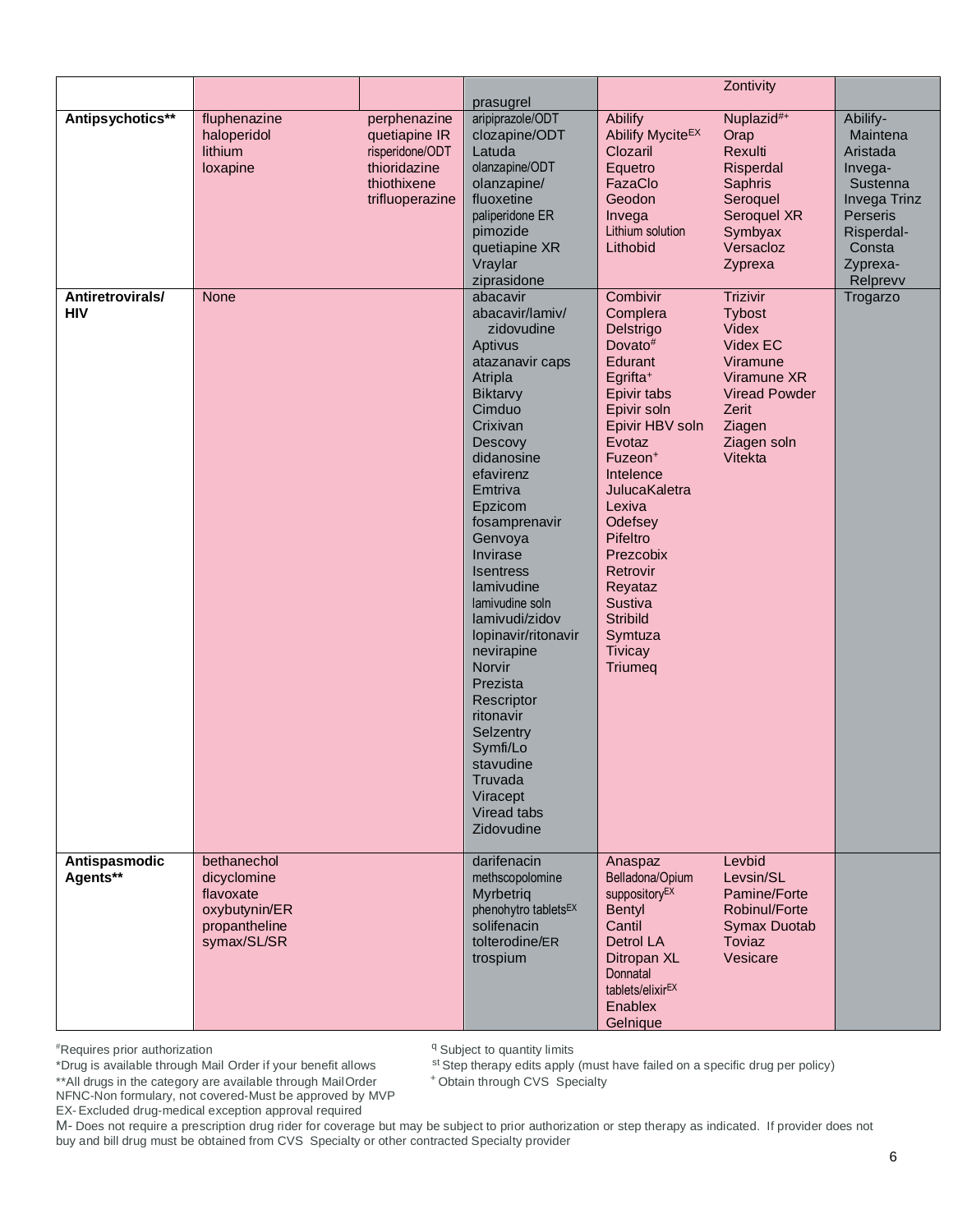|                                |                                                                                          |                                                                                                    | prasugrel                                                                                                                                                                                                                                                                                                                                                                                                                                                                       |                                                                                                                                                                                                                                                                                                                                                   | Zontivity                                                                                                                               |                                                                                                                                     |
|--------------------------------|------------------------------------------------------------------------------------------|----------------------------------------------------------------------------------------------------|---------------------------------------------------------------------------------------------------------------------------------------------------------------------------------------------------------------------------------------------------------------------------------------------------------------------------------------------------------------------------------------------------------------------------------------------------------------------------------|---------------------------------------------------------------------------------------------------------------------------------------------------------------------------------------------------------------------------------------------------------------------------------------------------------------------------------------------------|-----------------------------------------------------------------------------------------------------------------------------------------|-------------------------------------------------------------------------------------------------------------------------------------|
| Antipsychotics**               | fluphenazine<br>haloperidol<br>lithium<br>loxapine                                       | perphenazine<br>quetiapine IR<br>risperidone/ODT<br>thioridazine<br>thiothixene<br>trifluoperazine | aripiprazole/ODT<br>clozapine/ODT<br>Latuda<br>olanzapine/ODT<br>olanzapine/<br>fluoxetine<br>paliperidone ER<br>pimozide<br>quetiapine XR<br>Vraylar<br>ziprasidone                                                                                                                                                                                                                                                                                                            | Abilify<br>Abilify MyciteEX<br>Clozaril<br>Equetro<br>FazaClo<br>Geodon<br>Invega<br>Lithium solution<br>Lithobid                                                                                                                                                                                                                                 | Nuplazid#+<br>Orap<br>Rexulti<br>Risperdal<br>Saphris<br>Seroquel<br>Seroquel XR<br>Symbyax<br>Versacloz<br>Zyprexa                     | Abilify-<br>Maintena<br>Aristada<br>Invega-<br>Sustenna<br>Invega Trinz<br>Perseris<br>Risperdal-<br>Consta<br>Zyprexa-<br>Relprevv |
| Antiretrovirals/<br><b>HIV</b> | <b>None</b>                                                                              |                                                                                                    | abacavir<br>abacavir/lamiv/<br>zidovudine<br>Aptivus<br>atazanavir caps<br>Atripla<br>Biktarvy<br>Cimduo<br>Crixivan<br>Descovy<br>didanosine<br>efavirenz<br>Emtriva<br>Epzicom<br>fosamprenavir<br>Genvoya<br>Invirase<br><b>Isentress</b><br>lamivudine<br>lamivudine soln<br>lamivudi/zidov<br>lopinavir/ritonavir<br>nevirapine<br>Norvir<br>Prezista<br>Rescriptor<br>ritonavir<br>Selzentry<br>Symfi/Lo<br>stavudine<br>Truvada<br>Viracept<br>Viread tabs<br>Zidovudine | Combivir<br>Complera<br>Delstrigo<br>Dovato#<br>Edurant<br>Egrifta <sup>+</sup><br>Epivir tabs<br>Epivir soln<br>Epivir HBV soln<br>Evotaz<br>Fuzeon <sup>+</sup><br>Intelence<br>JulucaKaletra<br>Lexiva<br>Odefsey<br>Pifeltro<br>Prezcobix<br>Retrovir<br>Reyataz<br>Sustiva<br><b>Stribild</b><br>Symtuza<br><b>Tivicay</b><br><b>Triumeg</b> | Trizivir<br>Tybost<br>Videx<br>Videx EC<br>Viramune<br>Viramune XR<br><b>Viread Powder</b><br>Zerit<br>Ziagen<br>Ziagen soln<br>Vitekta | Trogarzo                                                                                                                            |
| Antispasmodic<br>Agents**      | bethanechol<br>dicyclomine<br>flavoxate<br>oxybutynin/ER<br>propantheline<br>symax/SL/SR |                                                                                                    | darifenacin<br>methscopolomine<br>Myrbetrig<br>phenohytro tablets <sup>EX</sup><br>solifenacin<br>tolterodine/ER<br>trospium                                                                                                                                                                                                                                                                                                                                                    | Anaspaz<br>Belladona/Opium<br>suppository <sup>EX</sup><br><b>Bentyl</b><br>Cantil<br>Detrol LA<br>Ditropan XL<br>Donnatal<br>tablets/elixirEX<br>Enablex<br>Gelnique                                                                                                                                                                             | Levbid<br>Levsin/SL<br>Pamine/Forte<br>Robinul/Forte<br><b>Symax Duotab</b><br>Toviaz<br>Vesicare                                       |                                                                                                                                     |

<sup>q</sup> Subject to quantity limits

st Step therapy edits apply (must have failed on a specific drug per policy)

<sup>+</sup> Obtain through CVS Specialty

\*\*All drugs in the category are available through MailOrder NFNC-Non formulary, not covered-Must be approved by MVP

EX- Excluded drug-medical exception approval required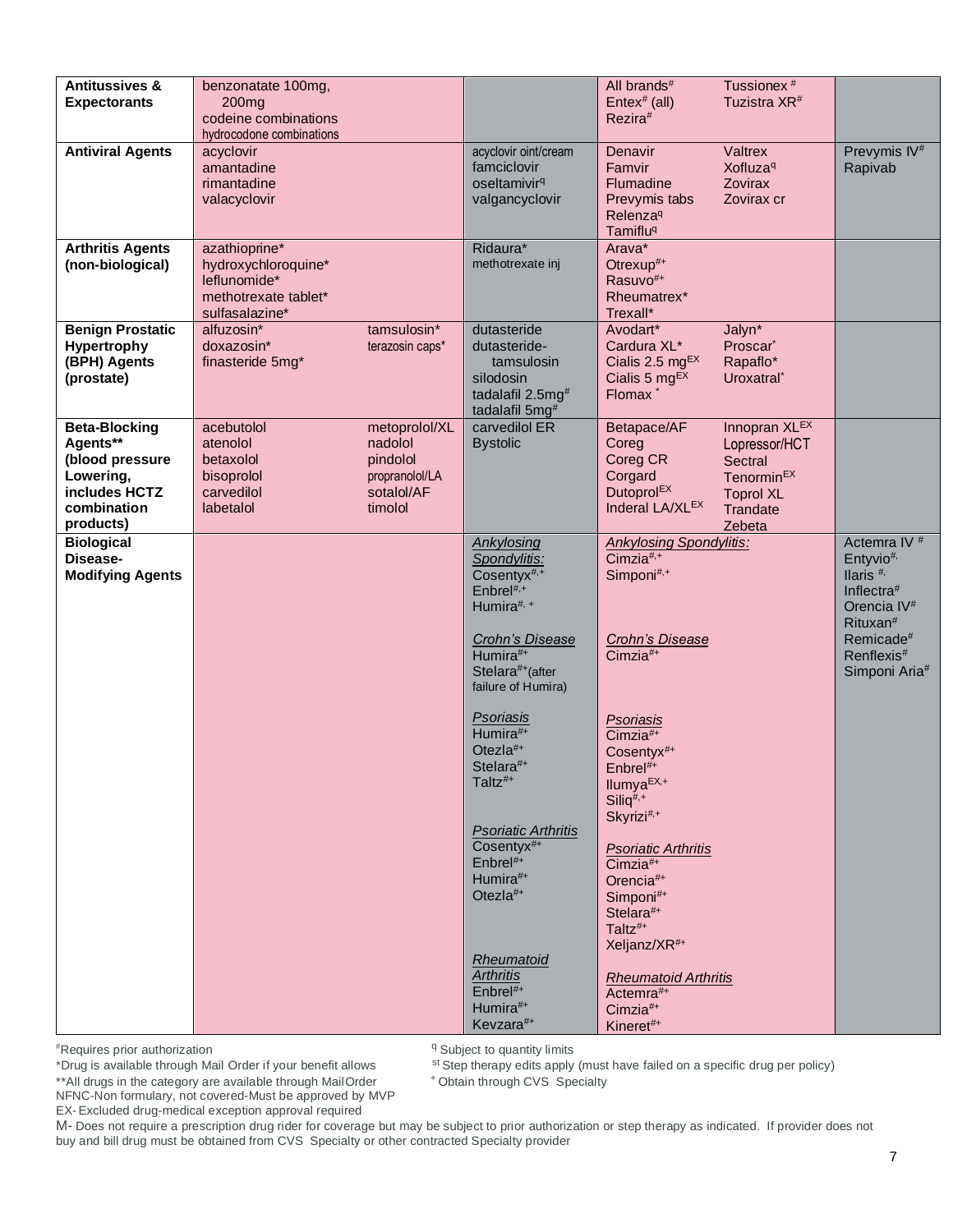| <b>Antitussives &amp;</b><br><b>Expectorants</b>                                                              | benzonatate 100mg,<br>200 <sub>mg</sub><br>codeine combinations<br>hydrocodone combinations    |                                                                                 |                                                                                                                                                                             | All brands#<br>Entex <sup>#</sup> (all)<br>Rezira#                                                                               | Tussionex <sup>#</sup><br>Tuzistra XR <sup>#</sup>                                                                   |                                                                                                                                                                                                   |
|---------------------------------------------------------------------------------------------------------------|------------------------------------------------------------------------------------------------|---------------------------------------------------------------------------------|-----------------------------------------------------------------------------------------------------------------------------------------------------------------------------|----------------------------------------------------------------------------------------------------------------------------------|----------------------------------------------------------------------------------------------------------------------|---------------------------------------------------------------------------------------------------------------------------------------------------------------------------------------------------|
| <b>Antiviral Agents</b>                                                                                       | acyclovir<br>amantadine<br>rimantadine<br>valacyclovir                                         |                                                                                 | acyclovir oint/cream<br>famciclovir<br>oseltamivir <sup>q</sup><br>valgancyclovir                                                                                           | Denavir<br>Famvir<br>Flumadine<br>Prevymis tabs<br>Relenza <sup>q</sup><br><b>Tamiflu<sup>q</sup></b>                            | Valtrex<br><b>Xofluza</b> <sup>q</sup><br>Zovirax<br>Zovirax cr                                                      | Prevymis IV <sup>#</sup><br>Rapivab                                                                                                                                                               |
| <b>Arthritis Agents</b><br>(non-biological)                                                                   | azathioprine*<br>hydroxychloroquine*<br>leflunomide*<br>methotrexate tablet*<br>sulfasalazine* |                                                                                 | Ridaura*<br>methotrexate inj                                                                                                                                                | Arava*<br>Otrexup#+<br>Rasuvo <sup>#+</sup><br>Rheumatrex*<br>Trexall*                                                           |                                                                                                                      |                                                                                                                                                                                                   |
| <b>Benign Prostatic</b><br>Hypertrophy<br>(BPH) Agents<br>(prostate)                                          | alfuzosin*<br>doxazosin*<br>finasteride 5mg*                                                   | tamsulosin*<br>terazosin caps*                                                  | dutasteride<br>dutasteride-<br>tamsulosin<br>silodosin<br>tadalafil 2.5mg <sup>#</sup><br>tadalafil 5mg <sup>#</sup>                                                        | Avodart*<br>Cardura XL*<br>Cialis 2.5 $mgEX$<br>Cialis 5 $mgEX$<br>Flomax <sup>*</sup>                                           | Jalyn*<br>Proscar <sup>*</sup><br>Rapaflo*<br>Uroxatral <sup>*</sup>                                                 |                                                                                                                                                                                                   |
| <b>Beta-Blocking</b><br>Agents**<br>(blood pressure<br>Lowering,<br>includes HCTZ<br>combination<br>products) | acebutolol<br>atenolol<br>betaxolol<br>bisoprolol<br>carvedilol<br>labetalol                   | metoprolol/XL<br>nadolol<br>pindolol<br>propranolol/LA<br>sotalol/AF<br>timolol | carvedilol ER<br><b>Bystolic</b>                                                                                                                                            | Betapace/AF<br>Coreg<br>Coreg CR<br>Corgard<br>Dutoprol <sup>EX</sup><br>Inderal LA/XLEX                                         | Innopran XLEX<br>Lopressor/HCT<br><b>Sectral</b><br>Tenormin <sup>EX</sup><br><b>Toprol XL</b><br>Trandate<br>Zebeta |                                                                                                                                                                                                   |
| <b>Biological</b><br>Disease-<br><b>Modifying Agents</b>                                                      |                                                                                                |                                                                                 | Ankylosing<br>Spondylitis:<br>Cosentyx <sup>#,+</sup><br>Enbrel <sup>#,+</sup><br>Humira#, +<br><b>Crohn's Disease</b><br>Humira#+<br>Stelara#+(after<br>failure of Humira) | <b>Ankylosing Spondylitis:</b><br>Cimzia#,+<br>Simponi#,+<br><b>Crohn's Disease</b><br>Cimzia#+                                  |                                                                                                                      | Actemra IV <sup>#</sup><br>Entyvio#,<br>llaris <sup>#,</sup><br>Inflectra#<br>Orencia IV <sup>#</sup><br>Rituxan <sup>#</sup><br>Remicade <sup>#</sup><br>Renflexis <sup>#</sup><br>Simponi Aria# |
|                                                                                                               |                                                                                                |                                                                                 | <b>Psoriasis</b><br>Humira#+<br>Otezla#+<br>Stelara#+<br>Taltz <sup>#+</sup>                                                                                                | <b>Psoriasis</b><br>Cimzia#+<br>Cosentyx#+<br>$Enbre!#+$<br>Ilumya <sup>EX,+</sup><br>$Siliq#,+$<br>Skyrizi <sup>#,+</sup>       |                                                                                                                      |                                                                                                                                                                                                   |
|                                                                                                               |                                                                                                |                                                                                 | <b>Psoriatic Arthritis</b><br>Cosentyx#+<br>Enbrel#+<br>Humira#+<br>Otezla#+                                                                                                | <b>Psoriatic Arthritis</b><br>Cimzia#+<br>Orencia#+<br>Simponi#+<br>Stelara#+<br>Taltz <sup>#+</sup><br>Xeljanz/XR <sup>#+</sup> |                                                                                                                      |                                                                                                                                                                                                   |
|                                                                                                               |                                                                                                |                                                                                 | Rheumatoid<br><b>Arthritis</b><br>Enbrel#+<br>Humira#+<br>Kevzara#+                                                                                                         | <b>Rheumatoid Arthritis</b><br>Actemra#+<br>Cimzia#+<br>Kineret#+                                                                |                                                                                                                      |                                                                                                                                                                                                   |

\*Drug is available through Mail Order if your benefit allows

<sup>q</sup> Subject to quantity limits

st Step therapy edits apply (must have failed on a specific drug per policy)

<sup>+</sup> Obtain through CVS Specialty

\*\*All drugs in the category are available through MailOrder NFNC-Non formulary, not covered-Must be approved by MVP EX- Excluded drug-medical exception approval required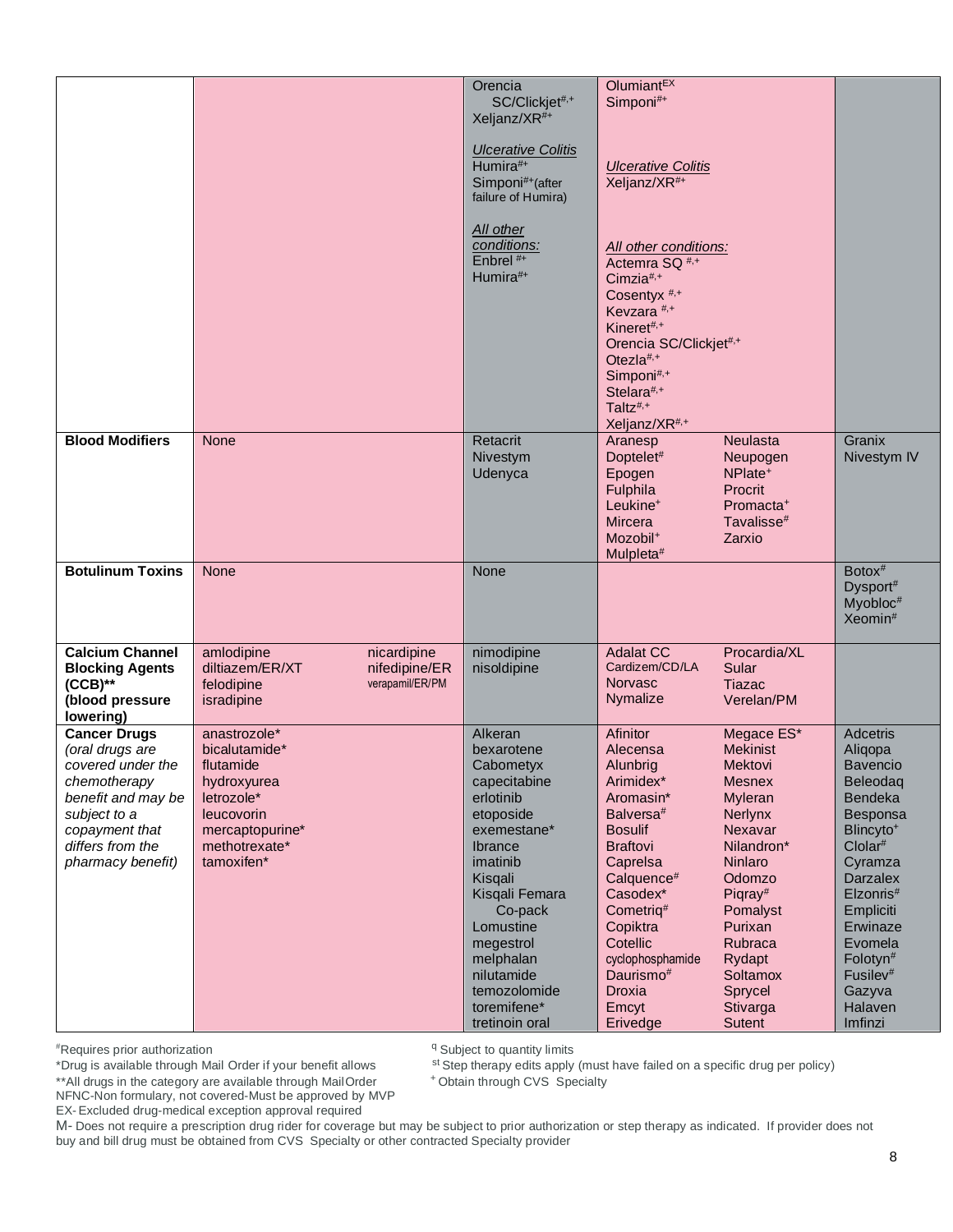|                                                                                                                                                                              |                                                                                                                                         | Orencia<br>SC/Clickjet#,+<br>Xeljanz/XR <sup>#+</sup><br><b>Ulcerative Colitis</b><br>Humira#+<br>Simponi#+(after<br>failure of Humira)                                                                                                                          | Olumiant <sup>EX</sup><br>Simponi#+<br><b>Ulcerative Colitis</b><br>Xeljanz/XR <sup>#+</sup>                                                                                                                                                                                                       |                                                                                                                                                                                                                                          |                                                                                                                                                                                                                                                                                                 |
|------------------------------------------------------------------------------------------------------------------------------------------------------------------------------|-----------------------------------------------------------------------------------------------------------------------------------------|------------------------------------------------------------------------------------------------------------------------------------------------------------------------------------------------------------------------------------------------------------------|----------------------------------------------------------------------------------------------------------------------------------------------------------------------------------------------------------------------------------------------------------------------------------------------------|------------------------------------------------------------------------------------------------------------------------------------------------------------------------------------------------------------------------------------------|-------------------------------------------------------------------------------------------------------------------------------------------------------------------------------------------------------------------------------------------------------------------------------------------------|
|                                                                                                                                                                              |                                                                                                                                         | All other<br>conditions:<br>Enbrel <sup>#+</sup><br>Humira#+                                                                                                                                                                                                     | All other conditions:<br>Actemra SQ <sup>#,+</sup><br>Cimzia#, $+$<br>Cosentyx <sup>#,+</sup><br>Kevzara <sup>#,+</sup><br>Kineret#,+<br>Orencia SC/Clickjet#,+<br>Otezla#,+<br>Simponi#,+<br>Stelara#,+<br>Taltz <sup>#,+</sup><br>Xeljanz/XR <sup>#,+</sup>                                      |                                                                                                                                                                                                                                          |                                                                                                                                                                                                                                                                                                 |
| <b>Blood Modifiers</b>                                                                                                                                                       | <b>None</b>                                                                                                                             | Retacrit<br>Nivestym<br>Udenyca                                                                                                                                                                                                                                  | Aranesp<br>Doptelet#<br>Epogen<br>Fulphila<br>Leukine <sup>+</sup><br>Mircera<br>Mozobil <sup>+</sup><br>Mulpleta <sup>#</sup>                                                                                                                                                                     | <b>Neulasta</b><br>Neupogen<br>NPlate <sup>+</sup><br>Procrit<br>Promacta <sup>+</sup><br>Tavalisse <sup>#</sup><br>Zarxio                                                                                                               | Granix<br>Nivestym IV                                                                                                                                                                                                                                                                           |
| <b>Botulinum Toxins</b>                                                                                                                                                      | <b>None</b>                                                                                                                             | None                                                                                                                                                                                                                                                             |                                                                                                                                                                                                                                                                                                    |                                                                                                                                                                                                                                          | $Botox$ #<br>Dysport#<br>Myobloc <sup>#</sup><br>Xeomin <sup>#</sup>                                                                                                                                                                                                                            |
| <b>Calcium Channel</b><br><b>Blocking Agents</b><br>$(CCB)$ **<br>(blood pressure<br>lowering)                                                                               | amlodipine<br>nicardipine<br>diltiazem/ER/XT<br>nifedipine/ER<br>felodipine<br>verapamil/ER/PM<br>isradipine                            | nimodipine<br>nisoldipine                                                                                                                                                                                                                                        | <b>Adalat CC</b><br>Cardizem/CD/LA<br><b>Norvasc</b><br>Nymalize                                                                                                                                                                                                                                   | Procardia/XL<br>Sular<br><b>Tiazac</b><br>Verelan/PM                                                                                                                                                                                     |                                                                                                                                                                                                                                                                                                 |
| <b>Cancer Drugs</b><br>(oral drugs are<br>covered under the<br>chemotherapy<br>benefit and may be<br>subject to a<br>copayment that<br>differs from the<br>pharmacy benefit) | anastrozole*<br>bicalutamide*<br>flutamide<br>hydroxyurea<br>letrozole*<br>leucovorin<br>mercaptopurine*<br>methotrexate*<br>tamoxifen* | Alkeran<br>bexarotene<br>Cabometyx<br>capecitabine<br>erlotinib<br>etoposide<br>exemestane*<br>Ibrance<br>imatinib<br>Kisqali<br>Kisqali Femara<br>Co-pack<br>Lomustine<br>megestrol<br>melphalan<br>nilutamide<br>temozolomide<br>toremifene*<br>tretinoin oral | <b>Afinitor</b><br>Alecensa<br>Alunbrig<br>Arimidex*<br>Aromasin*<br>Balversa <sup>#</sup><br><b>Bosulif</b><br><b>Braftovi</b><br>Caprelsa<br>Calquence#<br>Casodex*<br>Cometriq <sup>#</sup><br>Copiktra<br>Cotellic<br>cyclophosphamide<br>Daurismo <sup>#</sup><br>Droxia<br>Emcyt<br>Erivedge | Megace ES*<br><b>Mekinist</b><br><b>Mektovi</b><br><b>Mesnex</b><br>Myleran<br>Nerlynx<br>Nexavar<br>Nilandron*<br>Ninlaro<br>Odomzo<br>Piqray#<br>Pomalyst<br>Purixan<br>Rubraca<br>Rydapt<br>Soltamox<br>Sprycel<br>Stivarga<br>Sutent | <b>Adcetris</b><br>Aliqopa<br><b>Bavencio</b><br>Beleodaq<br>Bendeka<br>Besponsa<br>Blincyto <sup>+</sup><br>Clolar <sup>#</sup><br>Cyramza<br><b>Darzalex</b><br>Elzonris#<br>Empliciti<br>Erwinaze<br>Evomela<br>Folotyn <sup>#</sup><br>Fusilev <sup>#</sup><br>Gazyva<br>Halaven<br>Imfinzi |

\*Drug is available through Mail Order if your benefit allows

<sup>q</sup> Subject to quantity limits

st Step therapy edits apply (must have failed on a specific drug per policy)

<sup>+</sup> Obtain through CVS Specialty

\*\*All drugs in the category are available through MailOrder NFNC-Non formulary, not covered-Must be approved by MVP EX- Excluded drug-medical exception approval required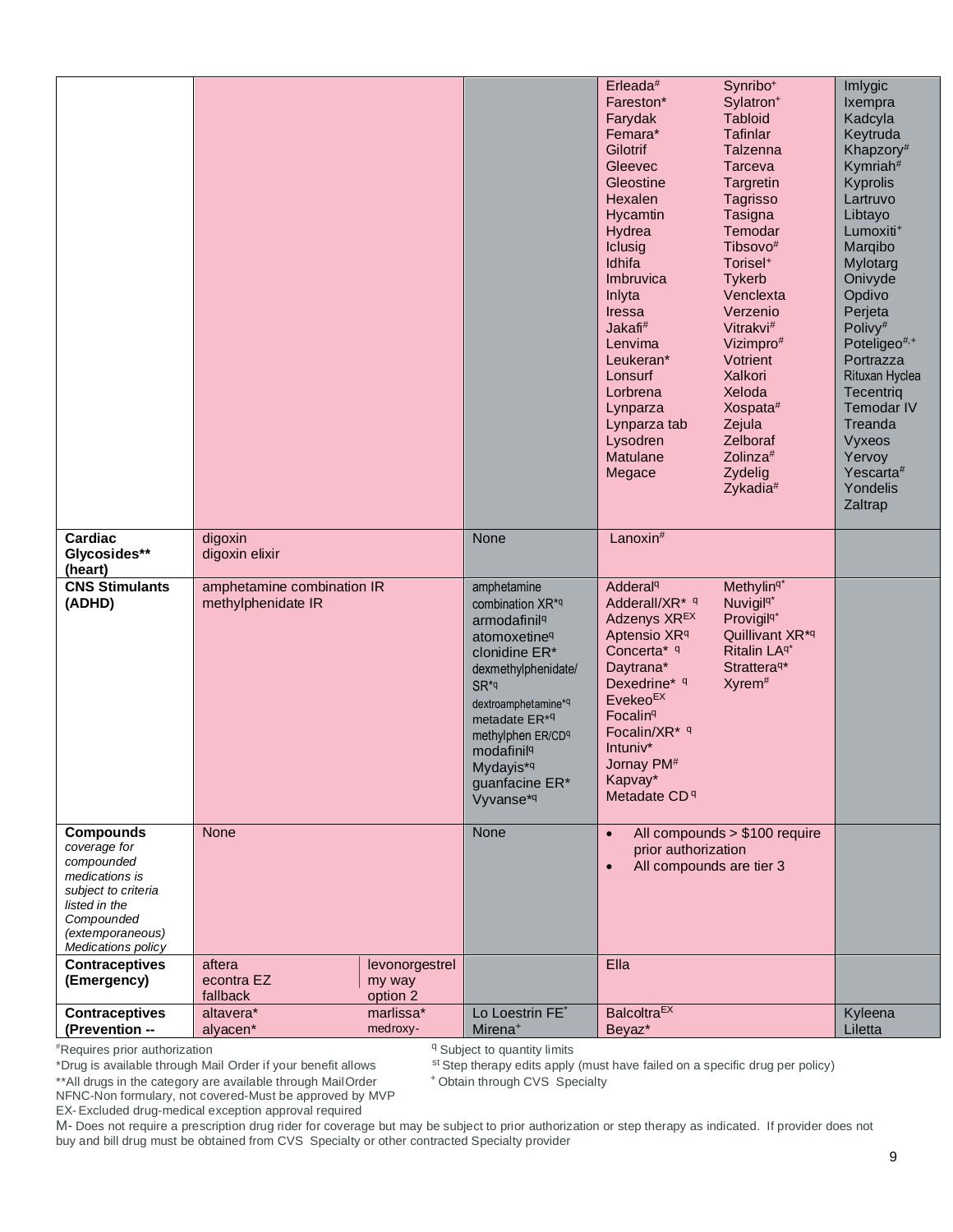|                                                                                                                                                                  |                                                  |                                      |                                                                                                                                                                                                                                                                                                    | Erleada#<br>Fareston*<br>Farydak<br>Femara*<br>Gilotrif<br>Gleevec<br>Gleostine<br>Hexalen<br>Hycamtin<br>Hydrea<br>Iclusig<br>Idhifa<br>Imbruvica<br>Inlyta<br>Iressa<br>Jakafi <sup>#</sup><br>Lenvima<br>Leukeran*<br>Lonsurf<br>Lorbrena<br>Lynparza<br>Lynparza tab<br>Lysodren<br>Matulane<br>Megace | Synribo <sup>+</sup><br>Sylatron <sup>+</sup><br><b>Tabloid</b><br><b>Tafinlar</b><br>Talzenna<br><b>Tarceva</b><br>Targretin<br>Tagrisso<br>Tasigna<br>Temodar<br>Tibsovo <sup>#</sup><br>Torisel <sup>+</sup><br><b>Tykerb</b><br>Venclexta<br>Verzenio<br>Vitrakvi <sup>#</sup><br>Vizimpro#<br>Votrient<br>Xalkori<br>Xeloda<br>Xospata#<br>Zejula<br>Zelboraf<br>Zolinza <sup>#</sup><br>Zydelig<br>Zykadia <sup>#</sup> | Imlygic<br>Ixempra<br>Kadcyla<br>Keytruda<br>Khapzory <sup>#</sup><br>Kymriah <sup>#</sup><br>Kyprolis<br>Lartruvo<br>Libtayo<br>Lumoxiti <sup>+</sup><br>Marqibo<br>Mylotarg<br>Onivyde<br>Opdivo<br>Perjeta<br>Polivy <sup>#</sup><br>Poteligeo#,+<br>Portrazza<br>Rituxan Hyclea<br>Tecentriq<br>Temodar IV<br>Treanda<br>Vyxeos<br>Yervoy<br>Yescarta#<br>Yondelis<br>Zaltrap |
|------------------------------------------------------------------------------------------------------------------------------------------------------------------|--------------------------------------------------|--------------------------------------|----------------------------------------------------------------------------------------------------------------------------------------------------------------------------------------------------------------------------------------------------------------------------------------------------|------------------------------------------------------------------------------------------------------------------------------------------------------------------------------------------------------------------------------------------------------------------------------------------------------------|-------------------------------------------------------------------------------------------------------------------------------------------------------------------------------------------------------------------------------------------------------------------------------------------------------------------------------------------------------------------------------------------------------------------------------|-----------------------------------------------------------------------------------------------------------------------------------------------------------------------------------------------------------------------------------------------------------------------------------------------------------------------------------------------------------------------------------|
| Cardiac<br>Glycosides**<br>(heart)                                                                                                                               | digoxin<br>digoxin elixir                        |                                      | None                                                                                                                                                                                                                                                                                               | Lanoxin <sup>#</sup>                                                                                                                                                                                                                                                                                       |                                                                                                                                                                                                                                                                                                                                                                                                                               |                                                                                                                                                                                                                                                                                                                                                                                   |
| <b>CNS Stimulants</b><br>(ADHD)                                                                                                                                  | amphetamine combination IR<br>methylphenidate IR |                                      | amphetamine<br>combination XR*q<br>armodafinil <sup>q</sup><br>atomoxetine <sup>q</sup><br>clonidine ER*<br>dexmethylphenidate/<br>SR <sup>*q</sup><br>dextroamphetamine*q<br>metadate ER* <sup>q</sup><br>methylphen ER/CDq<br>modafinil <sup>q</sup><br>Mydayis*q<br>guanfacine ER*<br>Vyvanse*q | Adderal <sup>q</sup><br>Adderall/XR <sup>*</sup> q<br>Adzenys XR <sup>EX</sup><br>Aptensio XR <sup>q</sup><br>Concerta* q<br>Daytrana*<br>Dexedrine* 9<br>Evekeo <sup>EX</sup><br>Focalin <sup>q</sup><br>Focalin/XR* 9<br>Intuniv*<br>Jornay PM <sup>#</sup><br>Kapvay*<br>Metadate CD <sup>q</sup>       | Methylin <sup>q*</sup><br>Nuvigil <sup>q*</sup><br>Provigil <sup>q*</sup><br>Quillivant XR <sup>*q</sup><br>Ritalin LA <sup>q*</sup><br>Strattera <sup>q*</sup><br>Xyrem <sup>#</sup>                                                                                                                                                                                                                                         |                                                                                                                                                                                                                                                                                                                                                                                   |
| <b>Compounds</b><br>coverage for<br>compounded<br>medications is<br>subject to criteria<br>listed in the<br>Compounded<br>(extemporaneous)<br>Medications policy | None                                             |                                      | None                                                                                                                                                                                                                                                                                               | $\bullet$<br>prior authorization<br>All compounds are tier 3                                                                                                                                                                                                                                               | All compounds > \$100 require                                                                                                                                                                                                                                                                                                                                                                                                 |                                                                                                                                                                                                                                                                                                                                                                                   |
| <b>Contraceptives</b><br>(Emergency)                                                                                                                             | aftera<br>econtra EZ<br>fallback                 | levonorgestrel<br>my way<br>option 2 |                                                                                                                                                                                                                                                                                                    | Ella                                                                                                                                                                                                                                                                                                       |                                                                                                                                                                                                                                                                                                                                                                                                                               |                                                                                                                                                                                                                                                                                                                                                                                   |
| <b>Contraceptives</b>                                                                                                                                            | altavera*                                        | marlissa*                            | Lo Loestrin FE*                                                                                                                                                                                                                                                                                    | <b>Balcoltra<sup>EX</sup></b>                                                                                                                                                                                                                                                                              |                                                                                                                                                                                                                                                                                                                                                                                                                               | Kyleena                                                                                                                                                                                                                                                                                                                                                                           |
| (Prevention --                                                                                                                                                   | alyacen*                                         | medroxy-                             | Mirena <sup>+</sup>                                                                                                                                                                                                                                                                                | Beyaz*                                                                                                                                                                                                                                                                                                     |                                                                                                                                                                                                                                                                                                                                                                                                                               | Liletta                                                                                                                                                                                                                                                                                                                                                                           |

<sup>q</sup> Subject to quantity limits

st Step therapy edits apply (must have failed on a specific drug per policy)

<sup>+</sup> Obtain through CVS Specialty

\*\*All drugs in the category are available through MailOrder NFNC-Non formulary, not covered-Must be approved by MVP

EX- Excluded drug-medical exception approval required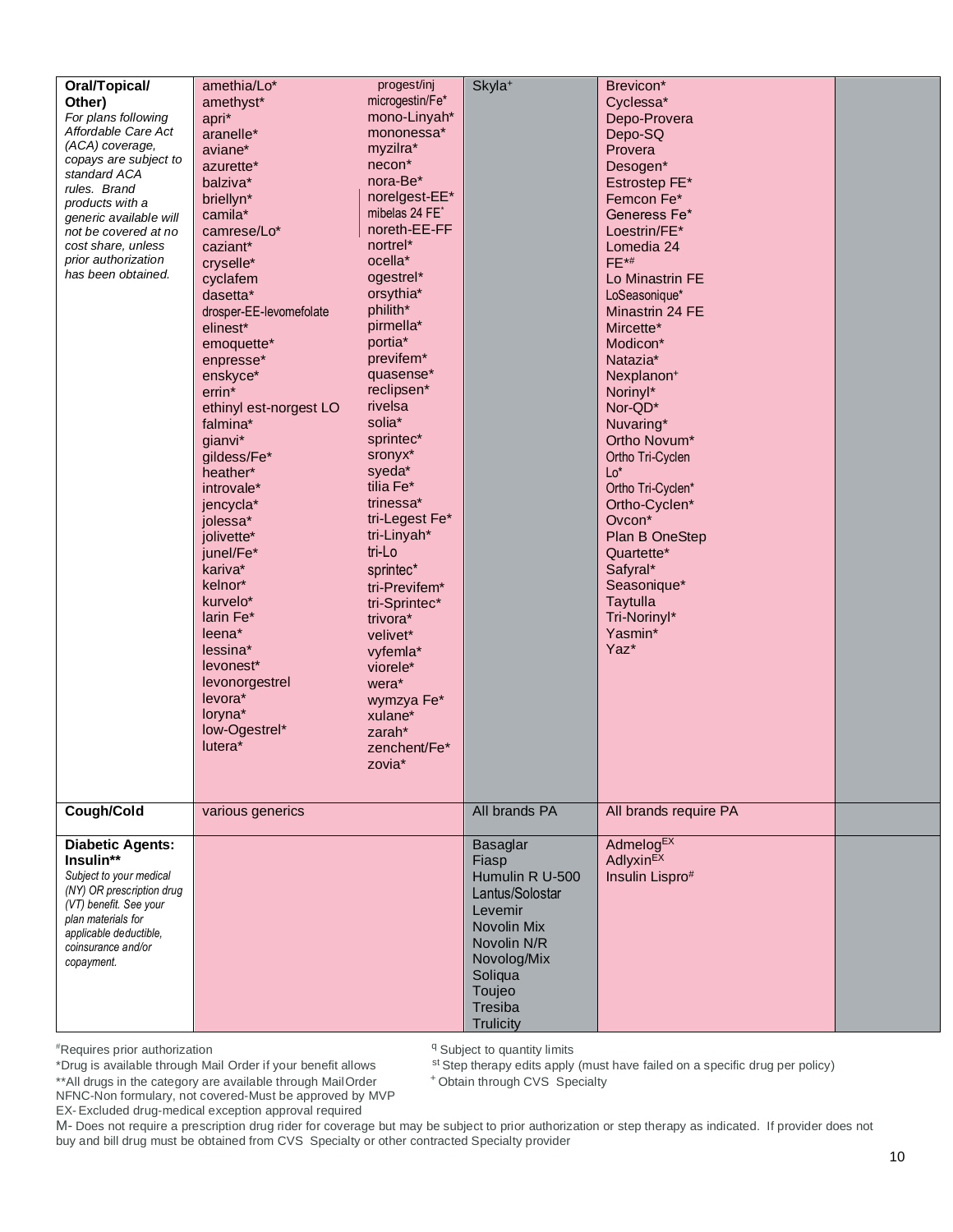| amethia/Lo* | progest/inj                                                                                                                                                                                                                                                                                                                                                                                                                                                                                 |                                                                                                                                                                                                                                                                                                                                                                                                                                                                                |                                                        |                                                                                                                                                                                                                                                                                                                                                                                                                                                                                                                         |
|-------------|---------------------------------------------------------------------------------------------------------------------------------------------------------------------------------------------------------------------------------------------------------------------------------------------------------------------------------------------------------------------------------------------------------------------------------------------------------------------------------------------|--------------------------------------------------------------------------------------------------------------------------------------------------------------------------------------------------------------------------------------------------------------------------------------------------------------------------------------------------------------------------------------------------------------------------------------------------------------------------------|--------------------------------------------------------|-------------------------------------------------------------------------------------------------------------------------------------------------------------------------------------------------------------------------------------------------------------------------------------------------------------------------------------------------------------------------------------------------------------------------------------------------------------------------------------------------------------------------|
|             |                                                                                                                                                                                                                                                                                                                                                                                                                                                                                             |                                                                                                                                                                                                                                                                                                                                                                                                                                                                                |                                                        |                                                                                                                                                                                                                                                                                                                                                                                                                                                                                                                         |
|             |                                                                                                                                                                                                                                                                                                                                                                                                                                                                                             |                                                                                                                                                                                                                                                                                                                                                                                                                                                                                |                                                        |                                                                                                                                                                                                                                                                                                                                                                                                                                                                                                                         |
|             |                                                                                                                                                                                                                                                                                                                                                                                                                                                                                             |                                                                                                                                                                                                                                                                                                                                                                                                                                                                                |                                                        |                                                                                                                                                                                                                                                                                                                                                                                                                                                                                                                         |
|             |                                                                                                                                                                                                                                                                                                                                                                                                                                                                                             |                                                                                                                                                                                                                                                                                                                                                                                                                                                                                |                                                        |                                                                                                                                                                                                                                                                                                                                                                                                                                                                                                                         |
|             |                                                                                                                                                                                                                                                                                                                                                                                                                                                                                             |                                                                                                                                                                                                                                                                                                                                                                                                                                                                                |                                                        |                                                                                                                                                                                                                                                                                                                                                                                                                                                                                                                         |
|             |                                                                                                                                                                                                                                                                                                                                                                                                                                                                                             |                                                                                                                                                                                                                                                                                                                                                                                                                                                                                |                                                        |                                                                                                                                                                                                                                                                                                                                                                                                                                                                                                                         |
|             |                                                                                                                                                                                                                                                                                                                                                                                                                                                                                             |                                                                                                                                                                                                                                                                                                                                                                                                                                                                                |                                                        |                                                                                                                                                                                                                                                                                                                                                                                                                                                                                                                         |
|             |                                                                                                                                                                                                                                                                                                                                                                                                                                                                                             |                                                                                                                                                                                                                                                                                                                                                                                                                                                                                | Femcon Fe*                                             |                                                                                                                                                                                                                                                                                                                                                                                                                                                                                                                         |
|             |                                                                                                                                                                                                                                                                                                                                                                                                                                                                                             |                                                                                                                                                                                                                                                                                                                                                                                                                                                                                | Generess Fe*                                           |                                                                                                                                                                                                                                                                                                                                                                                                                                                                                                                         |
| camrese/Lo* | noreth-EE-FF                                                                                                                                                                                                                                                                                                                                                                                                                                                                                |                                                                                                                                                                                                                                                                                                                                                                                                                                                                                | Loestrin/FE*                                           |                                                                                                                                                                                                                                                                                                                                                                                                                                                                                                                         |
|             | nortrel*                                                                                                                                                                                                                                                                                                                                                                                                                                                                                    |                                                                                                                                                                                                                                                                                                                                                                                                                                                                                |                                                        |                                                                                                                                                                                                                                                                                                                                                                                                                                                                                                                         |
|             |                                                                                                                                                                                                                                                                                                                                                                                                                                                                                             |                                                                                                                                                                                                                                                                                                                                                                                                                                                                                |                                                        |                                                                                                                                                                                                                                                                                                                                                                                                                                                                                                                         |
|             |                                                                                                                                                                                                                                                                                                                                                                                                                                                                                             |                                                                                                                                                                                                                                                                                                                                                                                                                                                                                |                                                        |                                                                                                                                                                                                                                                                                                                                                                                                                                                                                                                         |
|             |                                                                                                                                                                                                                                                                                                                                                                                                                                                                                             |                                                                                                                                                                                                                                                                                                                                                                                                                                                                                |                                                        |                                                                                                                                                                                                                                                                                                                                                                                                                                                                                                                         |
|             |                                                                                                                                                                                                                                                                                                                                                                                                                                                                                             |                                                                                                                                                                                                                                                                                                                                                                                                                                                                                |                                                        |                                                                                                                                                                                                                                                                                                                                                                                                                                                                                                                         |
|             |                                                                                                                                                                                                                                                                                                                                                                                                                                                                                             |                                                                                                                                                                                                                                                                                                                                                                                                                                                                                |                                                        |                                                                                                                                                                                                                                                                                                                                                                                                                                                                                                                         |
|             |                                                                                                                                                                                                                                                                                                                                                                                                                                                                                             |                                                                                                                                                                                                                                                                                                                                                                                                                                                                                |                                                        |                                                                                                                                                                                                                                                                                                                                                                                                                                                                                                                         |
| emoquette*  |                                                                                                                                                                                                                                                                                                                                                                                                                                                                                             |                                                                                                                                                                                                                                                                                                                                                                                                                                                                                |                                                        |                                                                                                                                                                                                                                                                                                                                                                                                                                                                                                                         |
|             | previfem <sup>*</sup>                                                                                                                                                                                                                                                                                                                                                                                                                                                                       |                                                                                                                                                                                                                                                                                                                                                                                                                                                                                | Natazia*                                               |                                                                                                                                                                                                                                                                                                                                                                                                                                                                                                                         |
|             |                                                                                                                                                                                                                                                                                                                                                                                                                                                                                             |                                                                                                                                                                                                                                                                                                                                                                                                                                                                                |                                                        |                                                                                                                                                                                                                                                                                                                                                                                                                                                                                                                         |
|             |                                                                                                                                                                                                                                                                                                                                                                                                                                                                                             |                                                                                                                                                                                                                                                                                                                                                                                                                                                                                |                                                        |                                                                                                                                                                                                                                                                                                                                                                                                                                                                                                                         |
|             |                                                                                                                                                                                                                                                                                                                                                                                                                                                                                             |                                                                                                                                                                                                                                                                                                                                                                                                                                                                                |                                                        |                                                                                                                                                                                                                                                                                                                                                                                                                                                                                                                         |
|             |                                                                                                                                                                                                                                                                                                                                                                                                                                                                                             |                                                                                                                                                                                                                                                                                                                                                                                                                                                                                |                                                        |                                                                                                                                                                                                                                                                                                                                                                                                                                                                                                                         |
|             |                                                                                                                                                                                                                                                                                                                                                                                                                                                                                             |                                                                                                                                                                                                                                                                                                                                                                                                                                                                                |                                                        |                                                                                                                                                                                                                                                                                                                                                                                                                                                                                                                         |
|             |                                                                                                                                                                                                                                                                                                                                                                                                                                                                                             |                                                                                                                                                                                                                                                                                                                                                                                                                                                                                |                                                        |                                                                                                                                                                                                                                                                                                                                                                                                                                                                                                                         |
|             |                                                                                                                                                                                                                                                                                                                                                                                                                                                                                             |                                                                                                                                                                                                                                                                                                                                                                                                                                                                                |                                                        |                                                                                                                                                                                                                                                                                                                                                                                                                                                                                                                         |
| heather*    |                                                                                                                                                                                                                                                                                                                                                                                                                                                                                             |                                                                                                                                                                                                                                                                                                                                                                                                                                                                                |                                                        |                                                                                                                                                                                                                                                                                                                                                                                                                                                                                                                         |
| introvale*  |                                                                                                                                                                                                                                                                                                                                                                                                                                                                                             |                                                                                                                                                                                                                                                                                                                                                                                                                                                                                |                                                        |                                                                                                                                                                                                                                                                                                                                                                                                                                                                                                                         |
|             | trinessa*                                                                                                                                                                                                                                                                                                                                                                                                                                                                                   |                                                                                                                                                                                                                                                                                                                                                                                                                                                                                |                                                        |                                                                                                                                                                                                                                                                                                                                                                                                                                                                                                                         |
|             |                                                                                                                                                                                                                                                                                                                                                                                                                                                                                             |                                                                                                                                                                                                                                                                                                                                                                                                                                                                                |                                                        |                                                                                                                                                                                                                                                                                                                                                                                                                                                                                                                         |
|             |                                                                                                                                                                                                                                                                                                                                                                                                                                                                                             |                                                                                                                                                                                                                                                                                                                                                                                                                                                                                |                                                        |                                                                                                                                                                                                                                                                                                                                                                                                                                                                                                                         |
|             |                                                                                                                                                                                                                                                                                                                                                                                                                                                                                             |                                                                                                                                                                                                                                                                                                                                                                                                                                                                                |                                                        |                                                                                                                                                                                                                                                                                                                                                                                                                                                                                                                         |
|             |                                                                                                                                                                                                                                                                                                                                                                                                                                                                                             |                                                                                                                                                                                                                                                                                                                                                                                                                                                                                |                                                        |                                                                                                                                                                                                                                                                                                                                                                                                                                                                                                                         |
|             |                                                                                                                                                                                                                                                                                                                                                                                                                                                                                             |                                                                                                                                                                                                                                                                                                                                                                                                                                                                                |                                                        |                                                                                                                                                                                                                                                                                                                                                                                                                                                                                                                         |
|             | tri-Previfem*                                                                                                                                                                                                                                                                                                                                                                                                                                                                               |                                                                                                                                                                                                                                                                                                                                                                                                                                                                                |                                                        |                                                                                                                                                                                                                                                                                                                                                                                                                                                                                                                         |
| kurvelo*    |                                                                                                                                                                                                                                                                                                                                                                                                                                                                                             |                                                                                                                                                                                                                                                                                                                                                                                                                                                                                |                                                        |                                                                                                                                                                                                                                                                                                                                                                                                                                                                                                                         |
| larin Fe*   |                                                                                                                                                                                                                                                                                                                                                                                                                                                                                             |                                                                                                                                                                                                                                                                                                                                                                                                                                                                                |                                                        |                                                                                                                                                                                                                                                                                                                                                                                                                                                                                                                         |
|             |                                                                                                                                                                                                                                                                                                                                                                                                                                                                                             |                                                                                                                                                                                                                                                                                                                                                                                                                                                                                |                                                        |                                                                                                                                                                                                                                                                                                                                                                                                                                                                                                                         |
|             |                                                                                                                                                                                                                                                                                                                                                                                                                                                                                             |                                                                                                                                                                                                                                                                                                                                                                                                                                                                                |                                                        |                                                                                                                                                                                                                                                                                                                                                                                                                                                                                                                         |
|             |                                                                                                                                                                                                                                                                                                                                                                                                                                                                                             |                                                                                                                                                                                                                                                                                                                                                                                                                                                                                |                                                        |                                                                                                                                                                                                                                                                                                                                                                                                                                                                                                                         |
|             |                                                                                                                                                                                                                                                                                                                                                                                                                                                                                             |                                                                                                                                                                                                                                                                                                                                                                                                                                                                                |                                                        |                                                                                                                                                                                                                                                                                                                                                                                                                                                                                                                         |
|             |                                                                                                                                                                                                                                                                                                                                                                                                                                                                                             |                                                                                                                                                                                                                                                                                                                                                                                                                                                                                |                                                        |                                                                                                                                                                                                                                                                                                                                                                                                                                                                                                                         |
|             |                                                                                                                                                                                                                                                                                                                                                                                                                                                                                             |                                                                                                                                                                                                                                                                                                                                                                                                                                                                                |                                                        |                                                                                                                                                                                                                                                                                                                                                                                                                                                                                                                         |
|             | xulane*                                                                                                                                                                                                                                                                                                                                                                                                                                                                                     |                                                                                                                                                                                                                                                                                                                                                                                                                                                                                |                                                        |                                                                                                                                                                                                                                                                                                                                                                                                                                                                                                                         |
|             |                                                                                                                                                                                                                                                                                                                                                                                                                                                                                             |                                                                                                                                                                                                                                                                                                                                                                                                                                                                                |                                                        |                                                                                                                                                                                                                                                                                                                                                                                                                                                                                                                         |
|             |                                                                                                                                                                                                                                                                                                                                                                                                                                                                                             |                                                                                                                                                                                                                                                                                                                                                                                                                                                                                |                                                        |                                                                                                                                                                                                                                                                                                                                                                                                                                                                                                                         |
|             |                                                                                                                                                                                                                                                                                                                                                                                                                                                                                             |                                                                                                                                                                                                                                                                                                                                                                                                                                                                                |                                                        |                                                                                                                                                                                                                                                                                                                                                                                                                                                                                                                         |
|             |                                                                                                                                                                                                                                                                                                                                                                                                                                                                                             |                                                                                                                                                                                                                                                                                                                                                                                                                                                                                |                                                        |                                                                                                                                                                                                                                                                                                                                                                                                                                                                                                                         |
|             |                                                                                                                                                                                                                                                                                                                                                                                                                                                                                             |                                                                                                                                                                                                                                                                                                                                                                                                                                                                                |                                                        |                                                                                                                                                                                                                                                                                                                                                                                                                                                                                                                         |
|             |                                                                                                                                                                                                                                                                                                                                                                                                                                                                                             |                                                                                                                                                                                                                                                                                                                                                                                                                                                                                |                                                        |                                                                                                                                                                                                                                                                                                                                                                                                                                                                                                                         |
|             |                                                                                                                                                                                                                                                                                                                                                                                                                                                                                             |                                                                                                                                                                                                                                                                                                                                                                                                                                                                                |                                                        |                                                                                                                                                                                                                                                                                                                                                                                                                                                                                                                         |
|             |                                                                                                                                                                                                                                                                                                                                                                                                                                                                                             |                                                                                                                                                                                                                                                                                                                                                                                                                                                                                |                                                        |                                                                                                                                                                                                                                                                                                                                                                                                                                                                                                                         |
|             |                                                                                                                                                                                                                                                                                                                                                                                                                                                                                             |                                                                                                                                                                                                                                                                                                                                                                                                                                                                                |                                                        |                                                                                                                                                                                                                                                                                                                                                                                                                                                                                                                         |
|             |                                                                                                                                                                                                                                                                                                                                                                                                                                                                                             | Fiasp                                                                                                                                                                                                                                                                                                                                                                                                                                                                          | Adlyxin <sup>EX</sup>                                  |                                                                                                                                                                                                                                                                                                                                                                                                                                                                                                                         |
|             |                                                                                                                                                                                                                                                                                                                                                                                                                                                                                             | Humulin R U-500                                                                                                                                                                                                                                                                                                                                                                                                                                                                | Insulin Lispro#                                        |                                                                                                                                                                                                                                                                                                                                                                                                                                                                                                                         |
|             |                                                                                                                                                                                                                                                                                                                                                                                                                                                                                             |                                                                                                                                                                                                                                                                                                                                                                                                                                                                                |                                                        |                                                                                                                                                                                                                                                                                                                                                                                                                                                                                                                         |
|             |                                                                                                                                                                                                                                                                                                                                                                                                                                                                                             |                                                                                                                                                                                                                                                                                                                                                                                                                                                                                |                                                        |                                                                                                                                                                                                                                                                                                                                                                                                                                                                                                                         |
|             |                                                                                                                                                                                                                                                                                                                                                                                                                                                                                             | Lantus/Solostar                                                                                                                                                                                                                                                                                                                                                                                                                                                                |                                                        |                                                                                                                                                                                                                                                                                                                                                                                                                                                                                                                         |
|             |                                                                                                                                                                                                                                                                                                                                                                                                                                                                                             | Levemir                                                                                                                                                                                                                                                                                                                                                                                                                                                                        |                                                        |                                                                                                                                                                                                                                                                                                                                                                                                                                                                                                                         |
|             |                                                                                                                                                                                                                                                                                                                                                                                                                                                                                             | Novolin Mix                                                                                                                                                                                                                                                                                                                                                                                                                                                                    |                                                        |                                                                                                                                                                                                                                                                                                                                                                                                                                                                                                                         |
|             |                                                                                                                                                                                                                                                                                                                                                                                                                                                                                             | Novolin N/R                                                                                                                                                                                                                                                                                                                                                                                                                                                                    |                                                        |                                                                                                                                                                                                                                                                                                                                                                                                                                                                                                                         |
|             |                                                                                                                                                                                                                                                                                                                                                                                                                                                                                             | Novolog/Mix                                                                                                                                                                                                                                                                                                                                                                                                                                                                    |                                                        |                                                                                                                                                                                                                                                                                                                                                                                                                                                                                                                         |
|             |                                                                                                                                                                                                                                                                                                                                                                                                                                                                                             | Soliqua                                                                                                                                                                                                                                                                                                                                                                                                                                                                        |                                                        |                                                                                                                                                                                                                                                                                                                                                                                                                                                                                                                         |
|             |                                                                                                                                                                                                                                                                                                                                                                                                                                                                                             | Toujeo                                                                                                                                                                                                                                                                                                                                                                                                                                                                         |                                                        |                                                                                                                                                                                                                                                                                                                                                                                                                                                                                                                         |
|             |                                                                                                                                                                                                                                                                                                                                                                                                                                                                                             | Tresiba                                                                                                                                                                                                                                                                                                                                                                                                                                                                        |                                                        |                                                                                                                                                                                                                                                                                                                                                                                                                                                                                                                         |
|             | amethyst*<br>apri*<br>aranelle*<br>aviane*<br>azurette*<br>balziva*<br>briellyn*<br>camila*<br>caziant*<br>cryselle*<br>cyclafem<br>dasetta*<br>drosper-EE-levomefolate<br>elinest*<br>enpresse*<br>enskyce*<br>errin*<br>ethinyl est-norgest LO<br>falmina*<br>gianvi*<br>gildess/Fe*<br>jencycla*<br>jolessa*<br>jolivette*<br>junel/Fe*<br>kariva*<br>kelnor*<br>leena*<br>lessina*<br>levonest*<br>levonorgestrel<br>levora*<br>loryna*<br>low-Ogestrel*<br>lutera*<br>various generics | microgestin/Fe*<br>mono-Linyah*<br>mononessa*<br>myzilra*<br>necon*<br>nora-Be*<br>norelgest-EE*<br>mibelas 24 FE*<br>ocella*<br>ogestrel*<br>orsythia*<br>philith*<br>pirmella*<br>portia*<br>quasense*<br>reclipsen*<br>rivelsa<br>solia*<br>sprintec*<br>sronyx*<br>syeda*<br>tilia Fe*<br>tri-Legest Fe*<br>tri-Linyah*<br>tri-Lo<br>sprintec*<br>tri-Sprintec*<br>trivora*<br>velivet*<br>vyfemla*<br>viorele*<br>wera*<br>wymzya Fe*<br>zarah*<br>zenchent/Fe*<br>zovia* | Skyla <sup>+</sup><br>All brands PA<br><b>Basaglar</b> | Brevicon*<br>Cyclessa*<br>Depo-Provera<br>Depo-SQ<br>Provera<br>Desogen*<br>Estrostep FE*<br>Lomedia 24<br>$FE**$<br>Lo Minastrin FE<br>LoSeasonique*<br>Minastrin 24 FE<br>Mircette*<br>Modicon*<br>Nexplanon <sup>+</sup><br>Noriny <sup>*</sup><br>Nor-QD*<br>Nuvaring*<br>Ortho Novum*<br>Ortho Tri-Cyclen<br>$Lo*$<br>Ortho Tri-Cyclen*<br>Ortho-Cyclen*<br>Ovcon*<br>Plan B OneStep<br>Quartette*<br>Safyral*<br>Seasonique*<br>Taytulla<br>Tri-Norinyl*<br>Yasmin*<br>Yaz*<br>All brands require PA<br>AdmelogEX |

\*Drug is available through Mail Order if your benefit allows

<sup>q</sup> Subject to quantity limits

st Step therapy edits apply (must have failed on a specific drug per policy)

+Obtain through CVS Specialty

\*\* All drugs in the category are available through Mail Order NFNC-Non formulary, not covered-Must be approved by MVP

EX-Excluded drug-medical exception approval required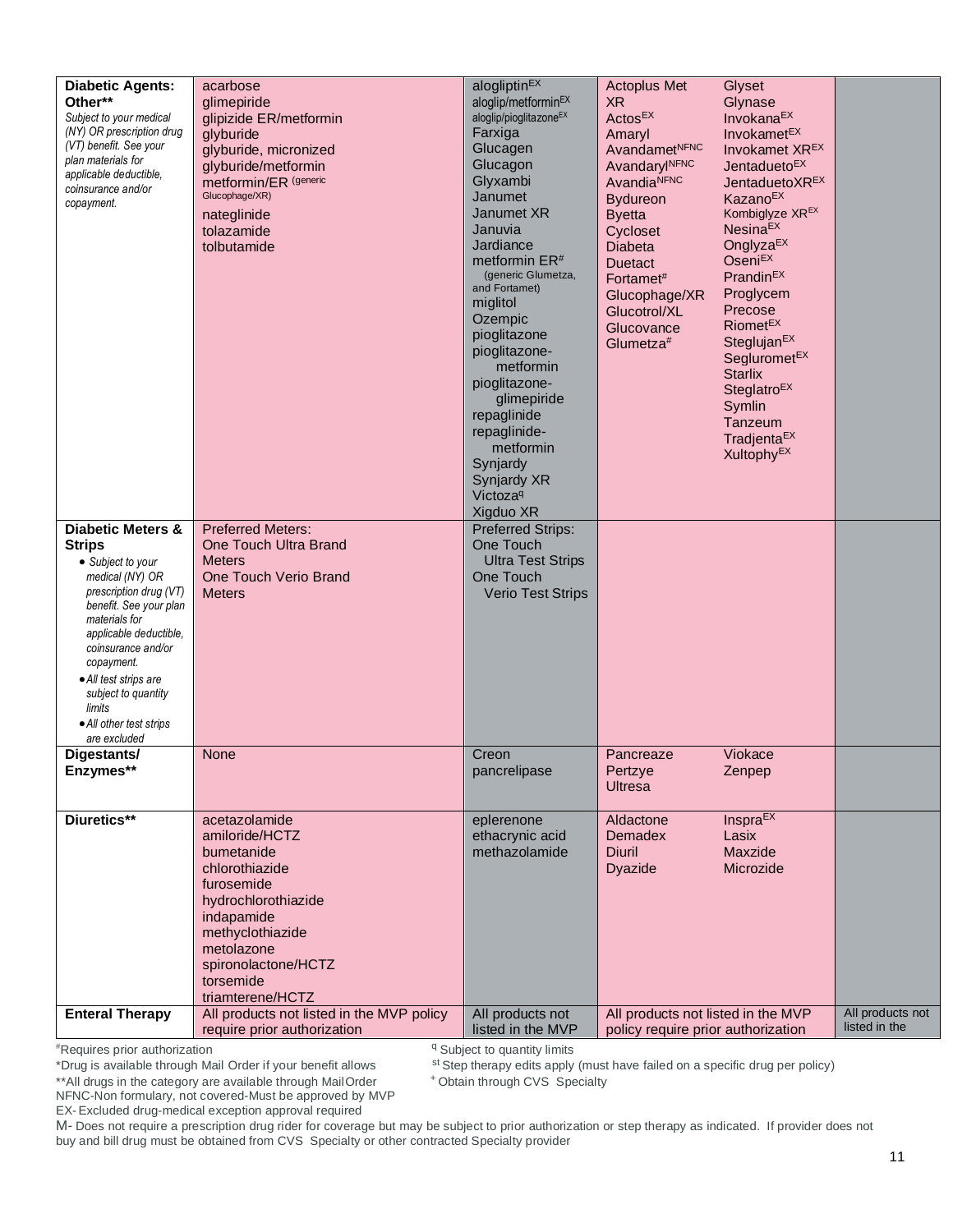| <b>Diabetic Agents:</b><br>Other**<br>Subject to your medical<br>(NY) OR prescription drug<br>(VT) benefit. See your<br>plan materials for<br>applicable deductible,<br>coinsurance and/or<br>copayment.                                                                                                                      | acarbose<br>glimepiride<br>glipizide ER/metformin<br>glyburide<br>glyburide, micronized<br>glyburide/metformin<br>metformin/ER <sup>(generic</sup><br>Glucophage/XR)<br>nateglinide<br>tolazamide<br>tolbutamide | alogliptin <sup>EX</sup><br>aloglip/metforminEX<br>aloglip/pioglitazone <sup>EX</sup><br>Farxiga<br>Glucagen<br>Glucagon<br>Glyxambi<br>Janumet<br>Janumet XR<br>Januvia<br>Jardiance<br>metformin ER <sup>#</sup><br>(generic Glumetza,<br>and Fortamet)<br>miglitol<br>Ozempic<br>pioglitazone<br>pioglitazone-<br>metformin<br>pioglitazone-<br>glimepiride<br>repaglinide<br>repaglinide-<br>metformin<br>Synjardy<br>Synjardy XR<br>Victoza <sup>q</sup><br>Xigduo XR | <b>Actoplus Met</b><br><b>XR</b><br>Actos <sup>EX</sup><br>Amaryl<br>AvandametNFNC<br>AvandarylNFNC<br>AvandiaNFNC<br><b>Bydureon</b><br><b>Byetta</b><br>Cycloset<br>Diabeta<br><b>Duetact</b><br>Fortamet#<br>Glucophage/XR<br>Glucotrol/XL<br>Glucovance<br>Glumetza# | Glyset<br>Glynase<br>Invokana <sup>EX</sup><br>Invokamet <sup>EX</sup><br>Invokamet XR <sup>EX</sup><br>Jentadueto <sup>EX</sup><br>JentaduetoXREX<br><b>KazanoEX</b><br>Kombiglyze XR <sup>EX</sup><br><b>NesinaEX</b><br>Onglyza <sup>EX</sup><br><b>Oseni<sup>EX</sup></b><br>Prandin <sup>EX</sup><br>Proglycem<br>Precose<br>Riomet <sup>EX</sup><br>Steglujan <sup>EX</sup><br>Segluromet <sup>EX</sup><br><b>Starlix</b><br>Steglatro <sup>EX</sup><br>Symlin<br>Tanzeum<br>Tradjenta <sup>EX</sup><br>Xultophy <sup>EX</sup> |                                   |
|-------------------------------------------------------------------------------------------------------------------------------------------------------------------------------------------------------------------------------------------------------------------------------------------------------------------------------|------------------------------------------------------------------------------------------------------------------------------------------------------------------------------------------------------------------|----------------------------------------------------------------------------------------------------------------------------------------------------------------------------------------------------------------------------------------------------------------------------------------------------------------------------------------------------------------------------------------------------------------------------------------------------------------------------|--------------------------------------------------------------------------------------------------------------------------------------------------------------------------------------------------------------------------------------------------------------------------|--------------------------------------------------------------------------------------------------------------------------------------------------------------------------------------------------------------------------------------------------------------------------------------------------------------------------------------------------------------------------------------------------------------------------------------------------------------------------------------------------------------------------------------|-----------------------------------|
| <b>Diabetic Meters &amp;</b><br><b>Strips</b><br>• Subject to your<br>medical (NY) OR<br>prescription drug (VT)<br>benefit. See your plan<br>materials for<br>applicable deductible,<br>coinsurance and/or<br>copayment.<br>• All test strips are<br>subject to quantity<br>limits<br>• All other test strips<br>are excluded | <b>Preferred Meters:</b><br>One Touch Ultra Brand<br><b>Meters</b><br>One Touch Verio Brand<br><b>Meters</b>                                                                                                     | <b>Preferred Strips:</b><br>One Touch<br><b>Ultra Test Strips</b><br>One Touch<br><b>Verio Test Strips</b>                                                                                                                                                                                                                                                                                                                                                                 |                                                                                                                                                                                                                                                                          |                                                                                                                                                                                                                                                                                                                                                                                                                                                                                                                                      |                                   |
| Digestants/<br>Enzymes**                                                                                                                                                                                                                                                                                                      | None                                                                                                                                                                                                             | Creon<br>pancrelipase                                                                                                                                                                                                                                                                                                                                                                                                                                                      | Pancreaze<br>Pertzye<br><b>Ultresa</b>                                                                                                                                                                                                                                   | Viokace<br>Zenpep                                                                                                                                                                                                                                                                                                                                                                                                                                                                                                                    |                                   |
| Diuretics**                                                                                                                                                                                                                                                                                                                   | acetazolamide<br>amiloride/HCTZ<br>bumetanide<br>chlorothiazide<br>furosemide<br>hydrochlorothiazide<br>indapamide<br>methyclothiazide<br>metolazone<br>spironolactone/HCTZ<br>torsemide<br>triamterene/HCTZ     | eplerenone<br>ethacrynic acid<br>methazolamide                                                                                                                                                                                                                                                                                                                                                                                                                             | Aldactone<br><b>Demadex</b><br>Diuril<br><b>Dyazide</b>                                                                                                                                                                                                                  | <b>Inspra<sup>EX</sup></b><br>Lasix<br>Maxzide<br>Microzide                                                                                                                                                                                                                                                                                                                                                                                                                                                                          |                                   |
| <b>Enteral Therapy</b>                                                                                                                                                                                                                                                                                                        | All products not listed in the MVP policy<br>require prior authorization                                                                                                                                         | All products not<br>listed in the MVP                                                                                                                                                                                                                                                                                                                                                                                                                                      | All products not listed in the MVP<br>policy require prior authorization                                                                                                                                                                                                 |                                                                                                                                                                                                                                                                                                                                                                                                                                                                                                                                      | All products not<br>listed in the |

<sup>q</sup> Subject to quantity limits

st Step therapy edits apply (must have failed on a specific drug per policy)

+Obtain through CVS Specialty

\*\* All drugs in the category are available through Mail Order NFNC-Non formulary, not covered-Must be approved by MVP

EX-Excluded drug-medical exception approval required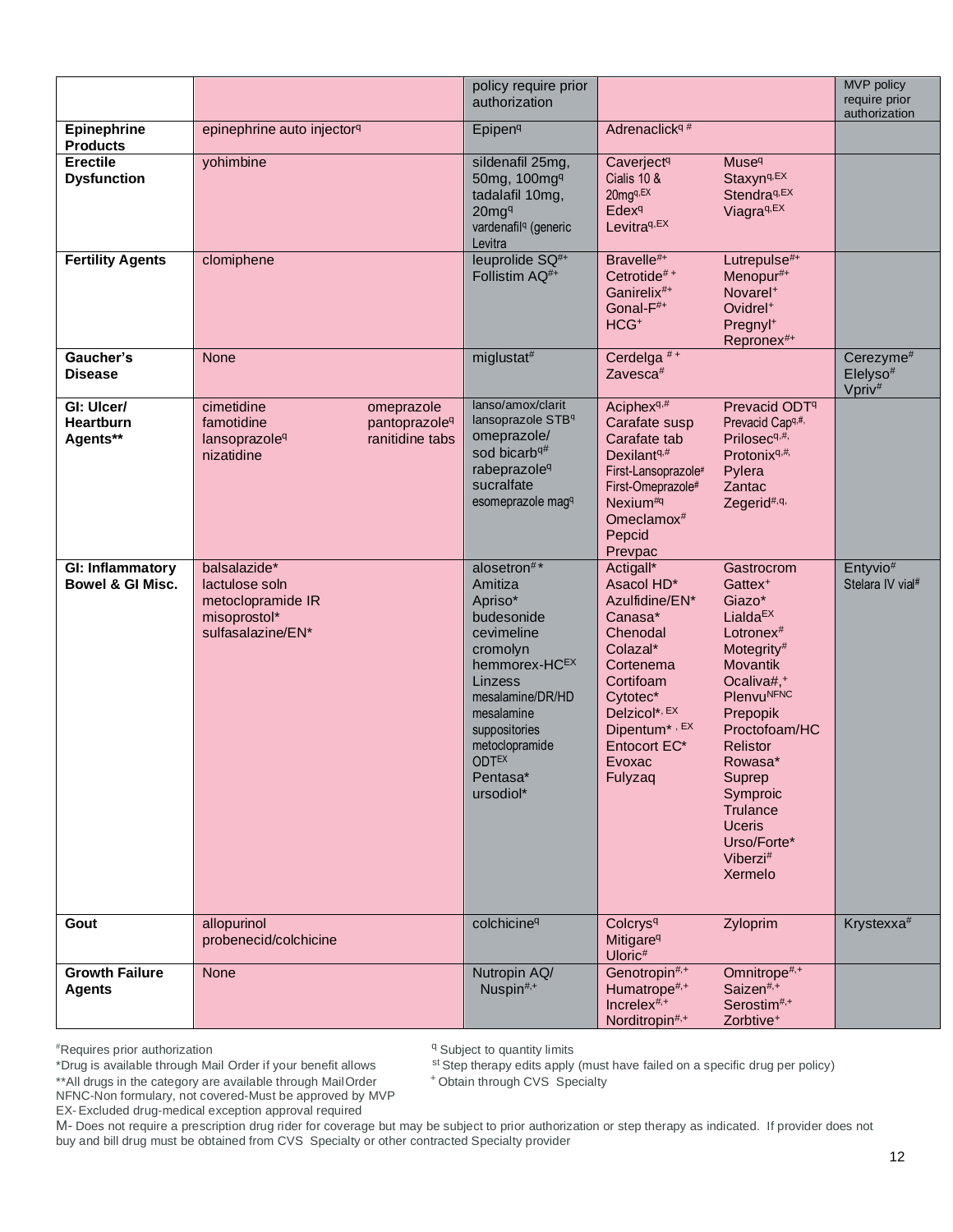|                                        |                                                                                                                                   | policy require prior<br>authorization                                                                                                                                                                               |                                                                                                                                                                                                       |                                                                                                                                                                                                                                                                                                                                         | MVP policy<br>require prior<br>authorization                        |
|----------------------------------------|-----------------------------------------------------------------------------------------------------------------------------------|---------------------------------------------------------------------------------------------------------------------------------------------------------------------------------------------------------------------|-------------------------------------------------------------------------------------------------------------------------------------------------------------------------------------------------------|-----------------------------------------------------------------------------------------------------------------------------------------------------------------------------------------------------------------------------------------------------------------------------------------------------------------------------------------|---------------------------------------------------------------------|
| Epinephrine<br><b>Products</b>         | epinephrine auto injector <sup>q</sup>                                                                                            | Epipen <sup>q</sup>                                                                                                                                                                                                 | Adrenaclick <sup>q#</sup>                                                                                                                                                                             |                                                                                                                                                                                                                                                                                                                                         |                                                                     |
| <b>Erectile</b><br><b>Dysfunction</b>  | yohimbine                                                                                                                         | sildenafil 25mg,<br>50mg, 100mg <sup>q</sup><br>tadalafil 10mg,<br>20mg <sup>q</sup><br>vardenafil <sup>q</sup> (generic<br>Levitra                                                                                 | Caverject <sup>q</sup><br>Cialis 10 &<br>20mgq,EX<br><b>Edex<sup>q</sup></b><br>Levitra <sup>q,EX</sup>                                                                                               | <b>Muse</b> <sup>q</sup><br>Staxyn <sup>q,EX</sup><br>Stendra <sup>q,EX</sup><br>Viagra <sup>q,EX</sup>                                                                                                                                                                                                                                 |                                                                     |
| <b>Fertility Agents</b>                | clomiphene                                                                                                                        | leuprolide SQ <sup>#+</sup><br>Follistim AQ <sup>#+</sup>                                                                                                                                                           | Bravelle#+<br>Cetrotide <sup>#+</sup><br>Ganirelix <sup>#+</sup><br>Gonal-F <sup>#+</sup><br>HCG <sup>+</sup>                                                                                         | Lutrepulse#+<br>Menopur#+<br>Novarel <sup>+</sup><br>Ovidrel <sup>+</sup><br>Pregnyl <sup>+</sup><br>Repronex#+                                                                                                                                                                                                                         |                                                                     |
| Gaucher's<br><b>Disease</b>            | None                                                                                                                              | miglustat#                                                                                                                                                                                                          | Cerdelga <sup>#+</sup><br>Zavesca <sup>#</sup>                                                                                                                                                        |                                                                                                                                                                                                                                                                                                                                         | Cerezyme <sup>#</sup><br>Elelyso <sup>#</sup><br>Vpriv <sup>#</sup> |
| GI: Ulcer/<br>Heartburn<br>Agents**    | cimetidine<br>omeprazole<br>famotidine<br>pantoprazole <sup>q</sup><br>ranitidine tabs<br>lansoprazole <sup>q</sup><br>nizatidine | lanso/amox/clarit<br>lansoprazole STBq<br>omeprazole/<br>sod bicarb <sup>q#</sup><br>rabeprazole <sup>q</sup><br>sucralfate<br>esomeprazole magq                                                                    | Aciphex <sup>q,#</sup><br>Carafate susp<br>Carafate tab<br>Dexilant <sup>q,#</sup><br>First-Lansoprazole#<br>First-Omeprazole#<br>Nexium <sup>#q</sup><br>Omeclamox <sup>#</sup><br>Pepcid<br>Prevpac | Prevacid ODT <sup>q</sup><br>Prevacid Capq,#,<br>Prilosec <sup>q,#,</sup><br>Protonix <sup>q,#,</sup><br>Pylera<br>Zantac<br>Zegerid <sup>#,q,</sup>                                                                                                                                                                                    |                                                                     |
| GI: Inflammatory<br>Bowel & GI Misc.   | balsalazide*<br>lactulose soln<br>metoclopramide IR<br>misoprostol*<br>sulfasalazine/EN*                                          | alosetron#*<br>Amitiza<br>Apriso*<br>budesonide<br>cevimeline<br>cromolyn<br>hemmorex-HCEX<br>Linzess<br>mesalamine/DR/HD<br>mesalamine<br>suppositories<br>metoclopramide<br><b>ODTEX</b><br>Pentasa*<br>ursodiol* | Actigall*<br>Asacol HD*<br>Azulfidine/EN*<br>Canasa*<br>Chenodal<br>Colazal*<br>Cortenema<br>Cortifoam<br>Cytotec*<br>Delzicol*, EX<br>Dipentum*, EX<br>Entocort EC*<br>Evoxac<br>Fulyzaq             | Gastrocrom<br>Gattex <sup>+</sup><br>Giazo*<br>Lialda $EX$<br>Lotronex <sup>#</sup><br>Motegrity#<br>Movantik<br>Ocaliva#, <sup>+</sup><br><b>Plenvu<sup>NFNC</sup></b><br>Prepopik<br>Proctofoam/HC<br><b>Relistor</b><br>Rowasa*<br>Suprep<br>Symproic<br>Trulance<br><b>Uceris</b><br>Urso/Forte*<br>Viberzi <sup>#</sup><br>Xermelo | Entyvio#<br>Stelara IV vial#                                        |
| Gout                                   | allopurinol<br>probenecid/colchicine                                                                                              | colchicine <sup>q</sup>                                                                                                                                                                                             | Colcrys <sup>q</sup><br>Mitigare <sup>q</sup><br>Uloric <sup>#</sup>                                                                                                                                  | Zyloprim                                                                                                                                                                                                                                                                                                                                | Krystexxa <sup>#</sup>                                              |
| <b>Growth Failure</b><br><b>Agents</b> | None                                                                                                                              | Nutropin AQ/<br>Nuspin#,+                                                                                                                                                                                           | Genotropin#,+<br>Humatrope#,+<br>Increlex <sup>#,+</sup><br>Norditropin#,+                                                                                                                            | Omnitrope <sup>#,+</sup><br>Saizen <sup>#,+</sup><br>Serostim <sup>#,+</sup><br>Zorbtive <sup>+</sup>                                                                                                                                                                                                                                   |                                                                     |

<sup>q</sup> Subject to quantity limits

st Step therapy edits apply (must have failed on a specific drug per policy)

+Obtain through CVS Specialty

\*\* All drugs in the category are available through Mail Order NFNC-Non formulary, not covered-Must be approved by MVP

EX-Excluded drug-medical exception approval required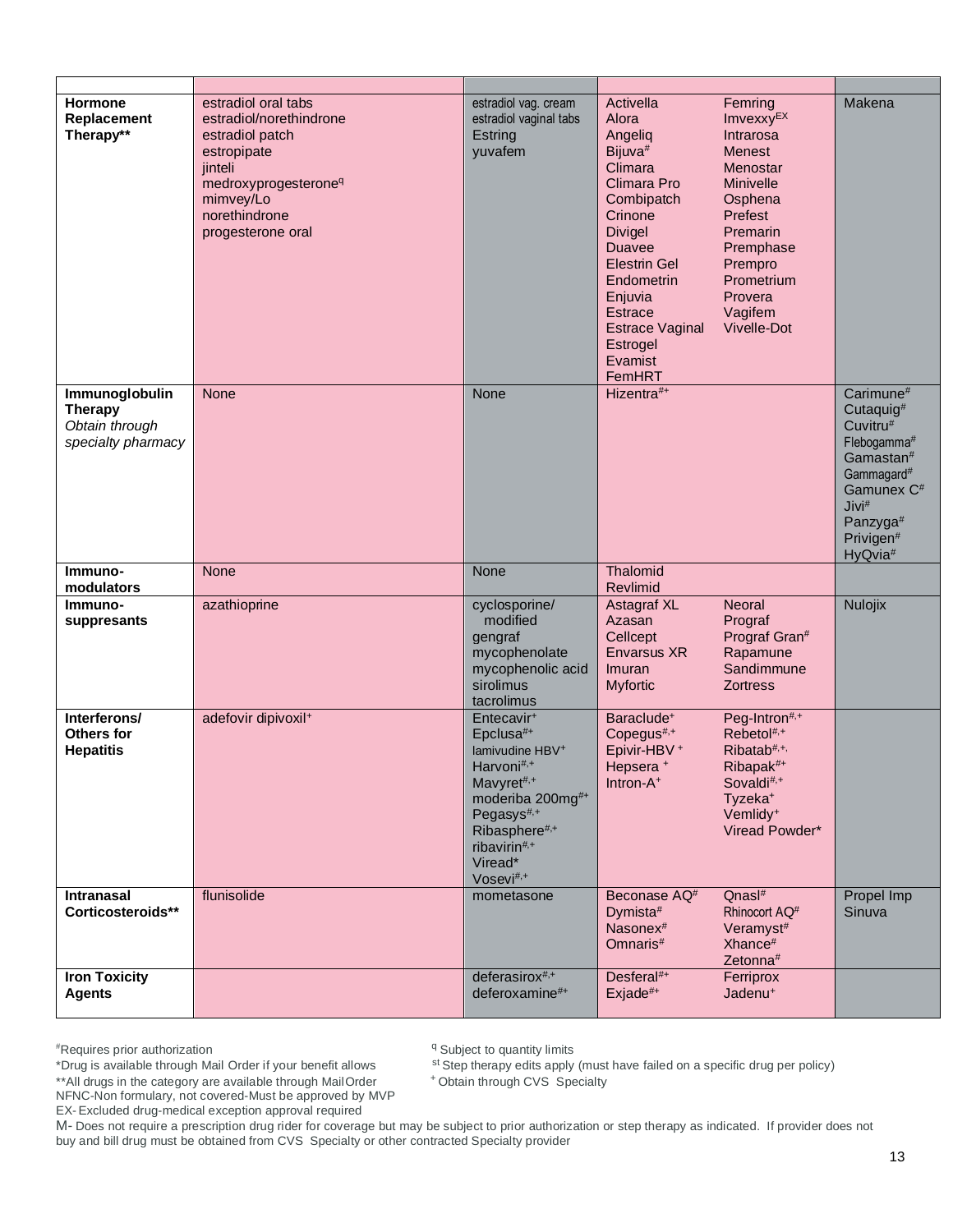| Hormone<br>Replacement<br>Therapy**                                      | estradiol oral tabs<br>estradiol/norethindrone<br>estradiol patch<br>estropipate<br>jinteli<br>medroxyprogesterone <sup>q</sup><br>mimvey/Lo<br>norethindrone<br>progesterone oral | estradiol vag. cream<br>estradiol vaginal tabs<br>Estring<br>yuvafem                                                                                                                                                             | Activella<br>Alora<br>Angeliq<br>Bijuva <sup>#</sup><br>Climara<br>Climara Pro<br>Combipatch<br>Crinone<br><b>Divigel</b><br><b>Duavee</b><br><b>Elestrin Gel</b><br>Endometrin<br>Enjuvia<br><b>Estrace</b><br><b>Estrace Vaginal</b><br><b>Estrogel</b><br>Evamist<br>FemHRT | Femring<br>Imvexxy <sup>EX</sup><br>Intrarosa<br><b>Menest</b><br>Menostar<br><b>Minivelle</b><br>Osphena<br>Prefest<br><b>Premarin</b><br>Premphase<br>Prempro<br>Prometrium<br>Provera<br>Vagifem<br>Vivelle-Dot | Makena                                                                                                                                                                                                          |
|--------------------------------------------------------------------------|------------------------------------------------------------------------------------------------------------------------------------------------------------------------------------|----------------------------------------------------------------------------------------------------------------------------------------------------------------------------------------------------------------------------------|--------------------------------------------------------------------------------------------------------------------------------------------------------------------------------------------------------------------------------------------------------------------------------|--------------------------------------------------------------------------------------------------------------------------------------------------------------------------------------------------------------------|-----------------------------------------------------------------------------------------------------------------------------------------------------------------------------------------------------------------|
| Immunoglobulin<br><b>Therapy</b><br>Obtain through<br>specialty pharmacy | <b>None</b>                                                                                                                                                                        | None                                                                                                                                                                                                                             | Hizentra#+                                                                                                                                                                                                                                                                     |                                                                                                                                                                                                                    | Carimune <sup>#</sup><br>Cutaquig <sup>#</sup><br>Cuvitru#<br>Flebogamma#<br>Gamastan#<br>Gammagard <sup>#</sup><br>Gamunex C <sup>#</sup><br>Jivi <sup>#</sup><br>Panzyga#<br>Privigen#<br>HyQvia <sup>#</sup> |
| Immuno-<br>modulators                                                    | <b>None</b>                                                                                                                                                                        | None                                                                                                                                                                                                                             | Thalomid<br>Revlimid                                                                                                                                                                                                                                                           |                                                                                                                                                                                                                    |                                                                                                                                                                                                                 |
| Immuno-<br>suppresants                                                   | azathioprine                                                                                                                                                                       | cyclosporine/<br>modified<br>gengraf<br>mycophenolate<br>mycophenolic acid<br>sirolimus<br>tacrolimus                                                                                                                            | <b>Astagraf XL</b><br>Azasan<br>Cellcept<br><b>Envarsus XR</b><br>Imuran<br><b>Myfortic</b>                                                                                                                                                                                    | Neoral<br>Prograf<br>Prograf Gran#<br>Rapamune<br>Sandimmune<br><b>Zortress</b>                                                                                                                                    | Nulojix                                                                                                                                                                                                         |
| Interferons/<br>Others for<br><b>Hepatitis</b>                           | adefovir dipivoxil <sup>+</sup>                                                                                                                                                    | Entecavir <sup>+</sup><br>Epclusa#+<br>lamivudine HBV <sup>+</sup><br>Harvoni#,+<br>Mavyret#,+<br>moderiba 200mg#+<br>Pegasys <sup>#,+</sup><br>Ribasphere <sup>#,+</sup><br>ribavirin#, $+$<br>Viread*<br>Vosevi <sup>#,+</sup> | Baraclude <sup>+</sup><br>Copegus#,+<br>Epivir-HBV+<br>Hepsera <sup>+</sup><br>Intron-A <sup>+</sup>                                                                                                                                                                           | Peg-Intron#,+<br>Rebetol <sup>#,+</sup><br>Ribatab <sup>#,+,</sup><br>Ribapak <sup>#+</sup><br>Sovaldi <sup>#,+</sup><br>Tyzeka <sup>+</sup><br>Vemlidy <sup>+</sup><br>Viread Powder*                             |                                                                                                                                                                                                                 |
| <b>Intranasal</b><br>Corticosteroids**                                   | flunisolide                                                                                                                                                                        | mometasone                                                                                                                                                                                                                       | Beconase AQ <sup>#</sup><br>Dymista#<br>Nasonex <sup>#</sup><br>Omnaris <sup>#</sup>                                                                                                                                                                                           | Qnash#<br>Rhinocort AQ <sup>#</sup><br>Veramyst <sup>#</sup><br>Xhance <sup>#</sup><br>Zetonna <sup>#</sup>                                                                                                        | Propel Imp<br>Sinuva                                                                                                                                                                                            |
| <b>Iron Toxicity</b><br><b>Agents</b>                                    |                                                                                                                                                                                    | deferasirox <sup>#,+</sup><br>deferoxamine#+                                                                                                                                                                                     | $Desferal#+$<br>$Exjade#+$                                                                                                                                                                                                                                                     | Ferriprox<br>Jadenu <sup>+</sup>                                                                                                                                                                                   |                                                                                                                                                                                                                 |

<sup>q</sup> Subject to quantity limits

st Step therapy edits apply (must have failed on a specific drug per policy)

+Obtain through CVS Specialty

\*\* All drugs in the category are available through Mail Order NFNC-Non formulary, not covered-Must be approved by MVP

EX-Excluded drug-medical exception approval required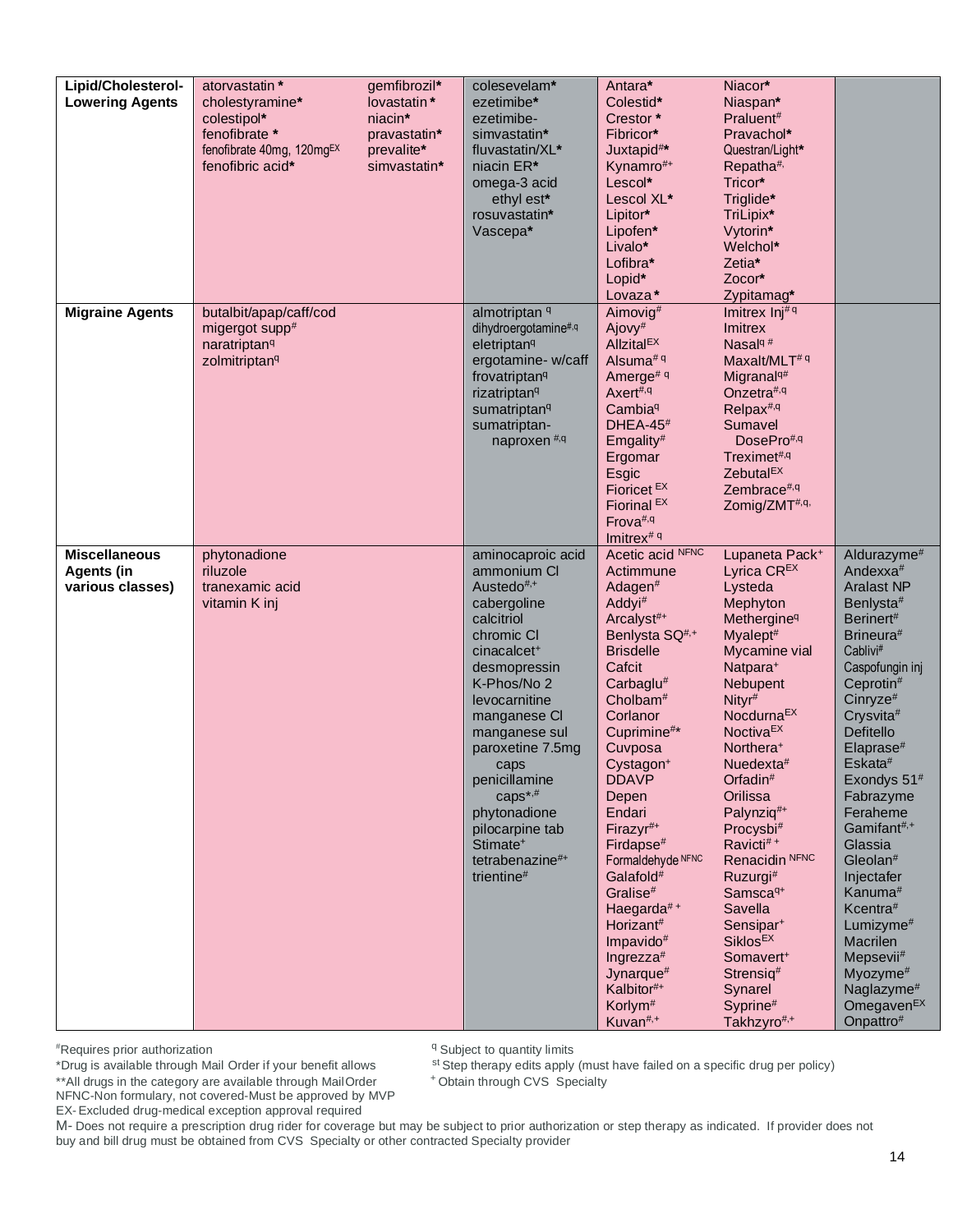| Lipid/Cholesterol-<br><b>Lowering Agents</b>                  | atorvastatin *<br>cholestyramine*<br>colestipol*<br>fenofibrate *<br>fenofibrate 40mg, 120mg <sup>EX</sup><br>fenofibric acid* | gemfibrozil*<br>lovastatin*<br>niacin*<br>pravastatin*<br>prevalite*<br>simvastatin* | colesevelam*<br>ezetimibe*<br>ezetimibe-<br>simvastatin*<br>fluvastatin/XL*<br>niacin ER*<br>omega-3 acid<br>ethyl est*<br>rosuvastatin*<br>Vascepa*                                                                                                                                                                                                                              | Antara*<br>Colestid*<br>Crestor*<br>Fibricor*<br>Juxtapid#*<br>Kynamro#+<br>Lescol*<br>Lescol XL*<br>Lipitor*<br>Lipofen*<br>Livalo*<br>Lofibra*<br>Lopid*<br>Lovaza*                                                                                                                                                                                                                                                                                                                                                                              | Niacor*<br>Niaspan*<br>Praluent#<br>Pravachol*<br>Questran/Light*<br>Repatha <sup>#,</sup><br>Tricor*<br>Triglide*<br>TriLipix*<br>Vytorin*<br>Welchol*<br>Zetia*<br>Zocor*<br>Zypitamag*                                                                                                                                                                                                                                                                                                                                                                              |                                                                                                                                                                                                                                                                                                                                                                                                                                                                                                                                                                                               |
|---------------------------------------------------------------|--------------------------------------------------------------------------------------------------------------------------------|--------------------------------------------------------------------------------------|-----------------------------------------------------------------------------------------------------------------------------------------------------------------------------------------------------------------------------------------------------------------------------------------------------------------------------------------------------------------------------------|----------------------------------------------------------------------------------------------------------------------------------------------------------------------------------------------------------------------------------------------------------------------------------------------------------------------------------------------------------------------------------------------------------------------------------------------------------------------------------------------------------------------------------------------------|------------------------------------------------------------------------------------------------------------------------------------------------------------------------------------------------------------------------------------------------------------------------------------------------------------------------------------------------------------------------------------------------------------------------------------------------------------------------------------------------------------------------------------------------------------------------|-----------------------------------------------------------------------------------------------------------------------------------------------------------------------------------------------------------------------------------------------------------------------------------------------------------------------------------------------------------------------------------------------------------------------------------------------------------------------------------------------------------------------------------------------------------------------------------------------|
| <b>Migraine Agents</b>                                        | butalbit/apap/caff/cod<br>migergot supp#<br>naratriptan <sup>q</sup><br>zolmitriptan <sup>q</sup>                              |                                                                                      | almotriptan <sup>q</sup><br>dihydroergotamine#,q<br>eletriptan <sup>q</sup><br>ergotamine- w/caff<br>frovatriptan <sup>q</sup><br>rizatriptan <sup>q</sup><br>sumatriptan <sup>q</sup><br>sumatriptan-<br>naproxen <sup>#,q</sup>                                                                                                                                                 | Aimovig#<br>Ajovy <sup>#</sup><br><b>AllzitalEX</b><br>Alsuma <sup># q</sup><br>Amerge <sup># q</sup><br>Axert#,q<br>Cambia <sup>q</sup><br>$DHEA-45#$<br>Emgality <sup>#</sup><br>Ergomar<br>Esgic<br>Fioricet <sup>EX</sup><br>Fiorinal <sup>EX</sup><br>Frova#,q<br>Imitrex <sup># q</sup>                                                                                                                                                                                                                                                      | Imitrex $Inj# q$<br><b>Imitrex</b><br>Nasal <sup>q#</sup><br>Maxalt/MLT <sup># q</sup><br>Migranal <sup>q#</sup><br>Onzetra#, $q$<br>Relpax <sup>#,q</sup><br>Sumavel<br>DosePro#,q<br>Treximet#,q<br>Zebutal <sup>EX</sup><br>Zembrace#,q<br>Zomig/ZMT#,q,                                                                                                                                                                                                                                                                                                            |                                                                                                                                                                                                                                                                                                                                                                                                                                                                                                                                                                                               |
| <b>Miscellaneous</b><br><b>Agents (in</b><br>various classes) | phytonadione<br>riluzole<br>tranexamic acid<br>vitamin K inj                                                                   |                                                                                      | aminocaproic acid<br>ammonium Cl<br>Austedo#,+<br>cabergoline<br>calcitriol<br>chromic CI<br>cinacalcet <sup>+</sup><br>desmopressin<br>K-Phos/No 2<br>levocarnitine<br>manganese Cl<br>manganese sul<br>paroxetine 7.5mg<br>caps<br>penicillamine<br>caps*,#<br>phytonadione<br>pilocarpine tab<br>Stimate <sup>+</sup><br>tetrabenazine <sup>#+</sup><br>trientine <sup>#</sup> | Acetic acid NFNC<br>Actimmune<br>Adagen#<br>Addyi#<br>Arcalyst#+<br>Benlysta SQ <sup>#,+</sup><br><b>Brisdelle</b><br>Cafcit<br>Carbaglu#<br>Cholbam <sup>#</sup><br>Corlanor<br>Cuprimine#*<br>Cuvposa<br>Cystagon <sup>+</sup><br><b>DDAVP</b><br>Depen<br>Endari<br>Firazyr <sup>#+</sup><br>Firdapse <sup>#</sup><br>Formaldehyde NFNC<br>Galafold <sup>#</sup><br>Gralise <sup>#</sup><br>Haegarda#+<br>Horizant <sup>#</sup><br>Impavido#<br>Ingrezza <sup>#</sup><br>Jynarque#<br>Kalbitor#+<br>Korlym <sup>#</sup><br>Kuvan <sup>#,+</sup> | Lupaneta Pack+<br>Lyrica CREX<br>Lysteda<br>Mephyton<br>Methergine <sup>q</sup><br>Myalept <sup>#</sup><br>Mycamine vial<br>Natpara <sup>+</sup><br>Nebupent<br>Nityr <sup>#</sup><br>Nocdurna <sup>EX</sup><br>Noctiva <sup>EX</sup><br>Northera <sup>+</sup><br>Nuedexta#<br>Orfadin <sup>#</sup><br>Orilissa<br>Palynziq#+<br>Procysbi#<br>Ravicti#+<br>Renacidin <sup>NFNC</sup><br>Ruzurgi#<br>Samsca <sup>q+</sup><br>Savella<br>Sensipar <sup>+</sup><br><b>Siklos<sup>EX</sup></b><br>Somavert <sup>+</sup><br>Strensig#<br>Synarel<br>Syprine#<br>Takhzyro#,+ | Aldurazyme <sup>#</sup><br>Andexxa <sup>#</sup><br><b>Aralast NP</b><br>Benlysta#<br>Berinert#<br>Brineura <sup>#</sup><br>Cablivi#<br>Caspofungin inj<br>Ceprotin#<br>Cinryze <sup>#</sup><br>Crysvita#<br>Defitello<br>$E$ laprase <sup>#</sup><br>Eskata <sup>#</sup><br>Exondys 51 <sup>#</sup><br>Fabrazyme<br>Feraheme<br>Gamifant <sup>#,+</sup><br>Glassia<br>Gleolan <sup>#</sup><br>Injectafer<br>Kanuma <sup>#</sup><br>Kcentra#<br>Lumizyme <sup>#</sup><br><b>Macrilen</b><br>Mepsevii#<br>Myozyme <sup>#</sup><br>Naglazyme <sup>#</sup><br>Omegaven <sup>EX</sup><br>Onpattro# |

\*Drug is available through Mail Order if your benefit allows

<sup>q</sup> Subject to quantity limits

st Step therapy edits apply (must have failed on a specific drug per policy)

+Obtain through CVS Specialty

\*\* All drugs in the category are available through Mail Order NFNC-Non formulary, not covered-Must be approved by MVP EX-Excluded drug-medical exception approval required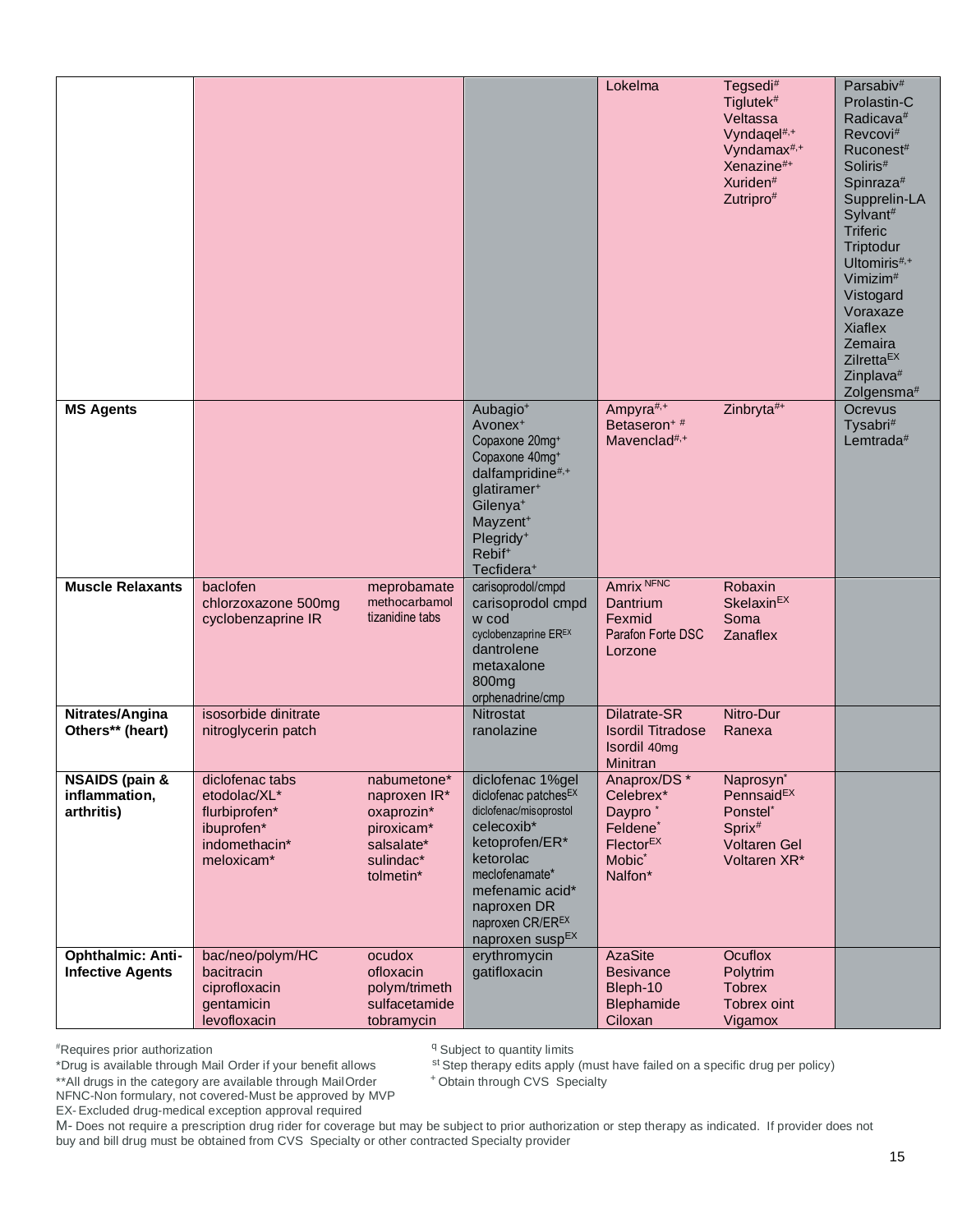|                                                          |                                                                                               |                                                                                                 |                                                                                                                                                                                                                                                         | Lokelma                                                                                                                               | Tegsedi#<br>Tiglutek <sup>#</sup><br>Veltassa<br>Vyndagel <sup>#,+</sup><br>Vyndamax <sup>#,+</sup><br>Xenazine <sup>#+</sup><br>Xuriden <sup>#</sup><br>Zutripro# | Parsabiv <sup>#</sup><br>Prolastin-C<br>Radicava <sup>#</sup><br>Revcovi#<br>Ruconest <sup>#</sup><br>Soliris <sup>#</sup><br>Spinraza <sup>#</sup><br>Supprelin-LA<br>Sylvant#<br><b>Triferic</b><br>Triptodur<br>Ultomiris <sup>#,+</sup><br>Vimizim <sup>#</sup><br>Vistogard<br>Voraxaze<br><b>Xiaflex</b><br>Zemaira<br>Zilrefta <sup>EX</sup><br>Zinplava <sup>#</sup><br>Zolgensma <sup>#</sup> |
|----------------------------------------------------------|-----------------------------------------------------------------------------------------------|-------------------------------------------------------------------------------------------------|---------------------------------------------------------------------------------------------------------------------------------------------------------------------------------------------------------------------------------------------------------|---------------------------------------------------------------------------------------------------------------------------------------|--------------------------------------------------------------------------------------------------------------------------------------------------------------------|--------------------------------------------------------------------------------------------------------------------------------------------------------------------------------------------------------------------------------------------------------------------------------------------------------------------------------------------------------------------------------------------------------|
| <b>MS Agents</b>                                         |                                                                                               |                                                                                                 | Aubagio <sup>+</sup><br>Avonex <sup>+</sup><br>Copaxone 20mg+<br>Copaxone 40mg+<br>dalfampridine#,+<br>glatiramer <sup>+</sup><br>Gilenya <sup>+</sup><br>Mayzent <sup>+</sup><br>Plegridy <sup>+</sup><br>Rebif <sup>+</sup><br>Tecfidera <sup>+</sup> | Ampyra <sup>#,+</sup><br>Betaseron <sup>+#</sup><br>Mavenclad <sup>#,+</sup>                                                          | Zinbryta#+                                                                                                                                                         | Ocrevus<br>Tysabri#<br>Lemtrada $#$                                                                                                                                                                                                                                                                                                                                                                    |
| <b>Muscle Relaxants</b>                                  | baclofen<br>chlorzoxazone 500mg<br>cyclobenzaprine IR                                         | meprobamate<br>methocarbamol<br>tizanidine tabs                                                 | carisoprodol/cmpd<br>carisoprodol cmpd<br>w cod<br>cyclobenzaprine EREX<br>dantrolene<br>metaxalone<br>800mg<br>orphenadrine/cmp                                                                                                                        | Amrix NFNC<br>Dantrium<br>Fexmid<br>Parafon Forte DSC<br>Lorzone                                                                      | Robaxin<br>Skelaxin <sup>EX</sup><br>Soma<br><b>Zanaflex</b>                                                                                                       |                                                                                                                                                                                                                                                                                                                                                                                                        |
| Nitrates/Angina<br>Others** (heart)                      | isosorbide dinitrate<br>nitroglycerin patch                                                   |                                                                                                 | Nitrostat<br>ranolazine                                                                                                                                                                                                                                 | Dilatrate-SR<br><b>Isordil Titradose</b><br>Isordil 40mg<br>Minitran                                                                  | Nitro-Dur<br>Ranexa                                                                                                                                                |                                                                                                                                                                                                                                                                                                                                                                                                        |
| <b>NSAIDS (pain &amp;</b><br>inflammation,<br>arthritis) | diclofenac tabs<br>etodolac/XL*<br>flurbiprofen*<br>ibuprofen*<br>indomethacin*<br>meloxicam* | nabumetone*<br>naproxen IR*<br>oxaprozin*<br>piroxicam*<br>salsalate*<br>sulindac*<br>tolmetin* | diclofenac 1%gel<br>diclofenac patchesEX<br>diclofenac/misoprostol<br>celecoxib*<br>ketoprofen/ER*<br>ketorolac<br>meclofenamate*<br>mefenamic acid*<br>naproxen DR<br>naproxen CR/EREX<br>naproxen susp <sup>EX</sup>                                  | Anaprox/DS *<br>Celebrex*<br>Daypro <sup>*</sup><br>Feldene <sup>*</sup><br>$F$ lector <sup>EX</sup><br>Mobic <sup>*</sup><br>Nalfon* | Naprosyn <sup>*</sup><br>PennsaidEX<br>Ponstel*<br>Sprix <sup>#</sup><br><b>Voltaren Gel</b><br>Voltaren XR*                                                       |                                                                                                                                                                                                                                                                                                                                                                                                        |
| <b>Ophthalmic: Anti-</b><br><b>Infective Agents</b>      | bac/neo/polym/HC<br>bacitracin<br>ciprofloxacin<br>gentamicin<br>levofloxacin                 | ocudox<br>ofloxacin<br>polym/trimeth<br>sulfacetamide<br>tobramycin                             | erythromycin<br>gatifloxacin                                                                                                                                                                                                                            | <b>AzaSite</b><br><b>Besivance</b><br>Bleph-10<br>Blephamide<br>Ciloxan                                                               | <b>Ocuflox</b><br>Polytrim<br><b>Tobrex</b><br>Tobrex oint<br>Vigamox                                                                                              |                                                                                                                                                                                                                                                                                                                                                                                                        |

<sup>q</sup> Subject to quantity limits

\*Drug is available through Mail Order if your benefit allows st Step therapy edits apply (must have failed on a specific drug per policy)

\*\*All drugs in the category are available through MailOrder

<sup>+</sup> Obtain through CVS Specialty

NFNC-Non formulary, not covered-Must be approved by MVP

EX- Excluded drug-medical exception approval required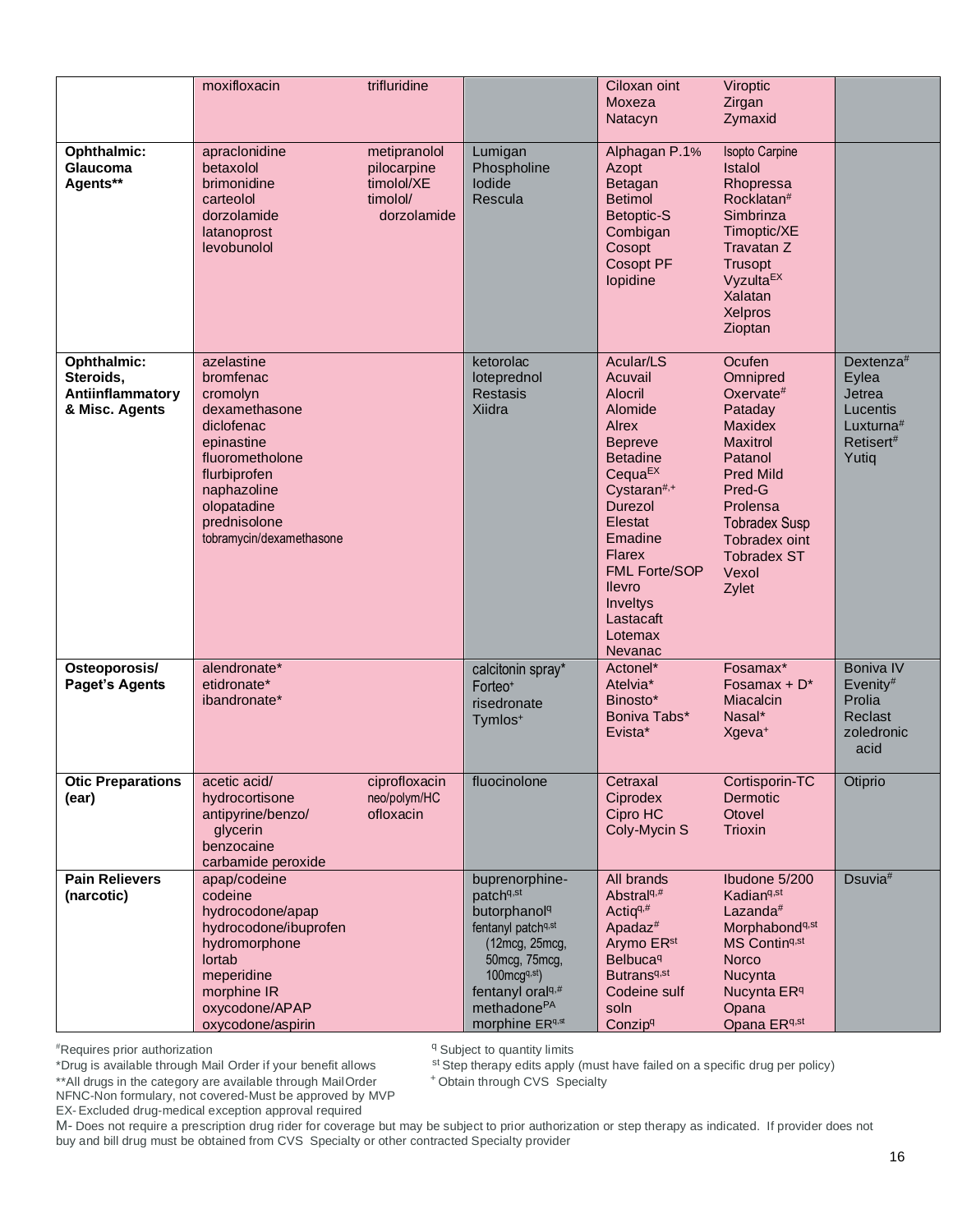|                                                                | moxifloxacin                                                                                                                                                                                  | trifluridine                                                         |                                                                                                                                                                                                                                        | Ciloxan oint<br>Moxeza<br>Natacyn                                                                                                                                                                                                                                                       | Viroptic<br>Zirgan<br>Zymaxid                                                                                                                                                                                            |                                                                                            |
|----------------------------------------------------------------|-----------------------------------------------------------------------------------------------------------------------------------------------------------------------------------------------|----------------------------------------------------------------------|----------------------------------------------------------------------------------------------------------------------------------------------------------------------------------------------------------------------------------------|-----------------------------------------------------------------------------------------------------------------------------------------------------------------------------------------------------------------------------------------------------------------------------------------|--------------------------------------------------------------------------------------------------------------------------------------------------------------------------------------------------------------------------|--------------------------------------------------------------------------------------------|
| Ophthalmic:<br>Glaucoma<br>Agents**                            | apraclonidine<br>betaxolol<br>brimonidine<br>carteolol<br>dorzolamide<br>latanoprost<br>levobunolol                                                                                           | metipranolol<br>pilocarpine<br>timolol/XE<br>timolol/<br>dorzolamide | Lumigan<br>Phospholine<br>lodide<br>Rescula                                                                                                                                                                                            | Alphagan P.1%<br>Azopt<br>Betagan<br><b>Betimol</b><br>Betoptic-S<br>Combigan<br>Cosopt<br>Cosopt PF<br>lopidine                                                                                                                                                                        | <b>Isopto Carpine</b><br>Istalol<br>Rhopressa<br>Rocklatan <sup>#</sup><br>Simbrinza<br>Timoptic/XE<br>Travatan Z<br><b>Trusopt</b><br>Vyzulta <sup>EX</sup><br>Xalatan<br>Xelpros<br>Zioptan                            |                                                                                            |
| Ophthalmic:<br>Steroids,<br>Antiinflammatory<br>& Misc. Agents | azelastine<br>bromfenac<br>cromolyn<br>dexamethasone<br>diclofenac<br>epinastine<br>fluorometholone<br>flurbiprofen<br>naphazoline<br>olopatadine<br>prednisolone<br>tobramycin/dexamethasone |                                                                      | ketorolac<br>loteprednol<br><b>Restasis</b><br>Xiidra                                                                                                                                                                                  | Acular/LS<br>Acuvail<br>Alocril<br>Alomide<br><b>Alrex</b><br><b>Bepreve</b><br><b>Betadine</b><br>$C$ equa <sup>EX</sup><br>Cystaran <sup>#,+</sup><br>Durezol<br>Elestat<br>Emadine<br><b>Flarex</b><br><b>FML Forte/SOP</b><br>llevro<br>Inveltys<br>Lastacaft<br>Lotemax<br>Nevanac | Ocufen<br>Omnipred<br>Oxervate $#$<br>Pataday<br><b>Maxidex</b><br><b>Maxitrol</b><br>Patanol<br><b>Pred Mild</b><br>Pred-G<br>Prolensa<br><b>Tobradex Susp</b><br>Tobradex oint<br><b>Tobradex ST</b><br>Vexol<br>Zylet | Dextenza $#$<br>Eylea<br>Jetrea<br>Lucentis<br>Luxturna <sup>#</sup><br>Retisert#<br>Yutiq |
| Osteoporosis/<br><b>Paget's Agents</b>                         | alendronate*<br>etidronate*<br>ibandronate*                                                                                                                                                   |                                                                      | calcitonin spray*<br>Forteo <sup>+</sup><br>risedronate<br>Tymlos <sup>+</sup>                                                                                                                                                         | Actonel*<br>Atelvia <sup>*</sup><br>Binosto*<br>Boniva Tabs*<br>Evista*                                                                                                                                                                                                                 | Fosamax*<br>Fosamax + $D^*$<br>Miacalcin<br>Nasal*<br>Xgeva <sup>+</sup>                                                                                                                                                 | <b>Boniva IV</b><br>Evenity#<br>Prolia<br>Reclast<br>zoledronic<br>acid                    |
| <b>Otic Preparations</b><br>(ear)                              | acetic acid/<br>hydrocortisone<br>antipyrine/benzo/<br>glycerin<br>benzocaine<br>carbamide peroxide                                                                                           | ciprofloxacin<br>neo/polym/HC<br>ofloxacin                           | fluocinolone                                                                                                                                                                                                                           | Cetraxal<br>Ciprodex<br>Cipro HC<br>Coly-Mycin S                                                                                                                                                                                                                                        | Cortisporin-TC<br>Dermotic<br>Otovel<br>Trioxin                                                                                                                                                                          | Otiprio                                                                                    |
| <b>Pain Relievers</b><br>(narcotic)                            | apap/codeine<br>codeine<br>hydrocodone/apap<br>hydrocodone/ibuprofen<br>hydromorphone<br>lortab<br>meperidine<br>morphine IR<br>oxycodone/APAP<br>oxycodone/aspirin                           |                                                                      | buprenorphine-<br>patch <sup>q,st</sup><br>butorphanol <sup>q</sup><br>fentanyl patchq,st<br>(12mcg, 25mcg,<br>50mcg, 75mcg,<br>$100 \text{mcg}^{q, st}$<br>fentanyl oral <sup>q,#</sup><br>methadone <sup>PA</sup><br>morphine ERq,st | All brands<br>Abstral <sup>q,#</sup><br>Actiq <sup>q,#</sup><br>Apada $z^*$<br>Arymo ER <sup>st</sup><br><b>Belbuca</b> <sup>q</sup><br>Butrans <sup>q,st</sup><br>Codeine sulf<br>soln<br>Conzipq                                                                                      | Ibudone 5/200<br>Kadian <sup>q,st</sup><br>Lazanda <sup>#</sup><br>Morphabond <sup>q,st</sup><br>MS Contin <sup>q,st</sup><br><b>Norco</b><br>Nucynta<br>Nucynta ER <sup>q</sup><br>Opana<br>Opana ERq,st                | Dsuvia <sup>#</sup>                                                                        |

<sup>q</sup> Subject to quantity limits

st Step therapy edits apply (must have failed on a specific drug per policy)

+Obtain through CVS Specialty

\*\* All drugs in the category are available through Mail Order NFNC-Non formulary, not covered-Must be approved by MVP

EX-Excluded drug-medical exception approval required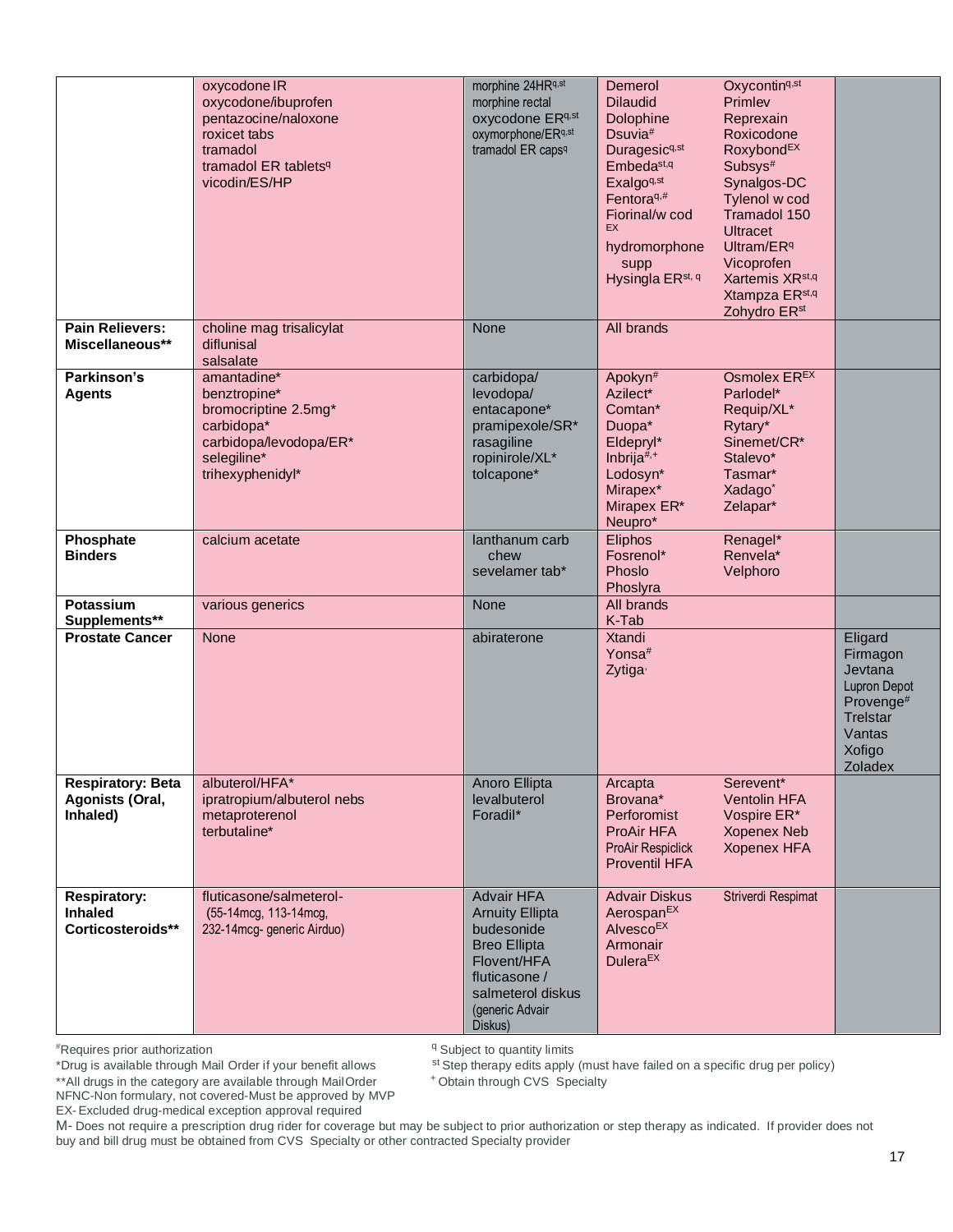|                                                            | oxycodone IR<br>oxycodone/ibuprofen<br>pentazocine/naloxone<br>roxicet tabs<br>tramadol<br>tramadol ER tablets <sup>q</sup><br>vicodin/ES/HP | morphine 24HRq,st<br>morphine rectal<br>oxycodone ERq, st<br>oxymorphone/ERq,st<br>tramadol ER caps <sup>q</sup>                                             | Demerol<br><b>Dilaudid</b><br><b>Dolophine</b><br>Dsuvia <sup>#</sup><br>Duragesic <sup>q,st</sup><br>Embeda <sup>st,q</sup><br>Exalgo <sup>q,st</sup><br>Fentora $q, #$<br>Fiorinal/w cod<br>EX<br>hydromorphone<br>supp<br>Hysingla ER <sup>st, q</sup> | Oxycontin <sup>q,st</sup><br>Primlev<br>Reprexain<br>Roxicodone<br>RoxybondEX<br>Subsys#<br>Synalgos-DC<br>Tylenol w cod<br>Tramadol 150<br><b>Ultracet</b><br>Ultram/ER <sup>q</sup><br>Vicoprofen<br>Xartemis XR <sup>st,q</sup><br>Xtampza ER <sup>st,q</sup><br>Zohydro ER <sup>st</sup> |                                                                                                                      |
|------------------------------------------------------------|----------------------------------------------------------------------------------------------------------------------------------------------|--------------------------------------------------------------------------------------------------------------------------------------------------------------|-----------------------------------------------------------------------------------------------------------------------------------------------------------------------------------------------------------------------------------------------------------|----------------------------------------------------------------------------------------------------------------------------------------------------------------------------------------------------------------------------------------------------------------------------------------------|----------------------------------------------------------------------------------------------------------------------|
| <b>Pain Relievers:</b><br>Miscellaneous**                  | choline mag trisalicylat<br>diflunisal<br>salsalate                                                                                          | None                                                                                                                                                         | All brands                                                                                                                                                                                                                                                |                                                                                                                                                                                                                                                                                              |                                                                                                                      |
| Parkinson's<br><b>Agents</b>                               | amantadine*<br>benztropine*<br>bromocriptine 2.5mg*<br>carbidopa*<br>carbidopa/levodopa/ER*<br>selegiline*<br>trihexyphenidyl*               | carbidopa/<br>levodopa/<br>entacapone*<br>pramipexole/SR*<br>rasagiline<br>ropinirole/XL*<br>tolcapone*                                                      | Apokyn <sup>#</sup><br>Azilect*<br>Comtan*<br>Duopa*<br>Eldepryl*<br>Inbrija#,+<br>Lodosyn*<br>Mirapex*<br>Mirapex ER*<br>Neupro*                                                                                                                         | Osmolex EREX<br>Parlodel*<br>Requip/XL*<br>Rytary*<br>Sinemet/CR*<br>Stalevo*<br>Tasmar*<br>Xadago <sup>*</sup><br>Zelapar*                                                                                                                                                                  |                                                                                                                      |
| Phosphate<br><b>Binders</b>                                | calcium acetate                                                                                                                              | lanthanum carb<br>chew<br>sevelamer tab*                                                                                                                     | Eliphos<br>Fosrenol*<br>Phoslo<br>Phoslyra                                                                                                                                                                                                                | Renagel*<br>Renvela*<br>Velphoro                                                                                                                                                                                                                                                             |                                                                                                                      |
| Potassium<br>Supplements**                                 | various generics                                                                                                                             | None                                                                                                                                                         | All brands<br>K-Tab                                                                                                                                                                                                                                       |                                                                                                                                                                                                                                                                                              |                                                                                                                      |
| <b>Prostate Cancer</b>                                     | None                                                                                                                                         | abiraterone                                                                                                                                                  | <b>Xtandi</b><br>Yonsa <sup>#</sup><br>Zytiga <sup>,</sup>                                                                                                                                                                                                |                                                                                                                                                                                                                                                                                              | Eligard<br>Firmagon<br>Jevtana<br><b>Lupron Depot</b><br>Provenge#<br><b>Trelstar</b><br>Vantas<br>Xofigo<br>Zoladex |
| <b>Respiratory: Beta</b><br>Agonists (Oral,<br>Inhaled)    | albuterol/HFA*<br>ipratropium/albuterol nebs<br>metaproterenol<br>terbutaline*                                                               | Anoro Ellipta<br>levalbuterol<br>Foradil*                                                                                                                    | Arcapta<br>Brovana*<br>Perforomist<br>ProAir HFA<br><b>ProAir Respiclick</b><br><b>Proventil HFA</b>                                                                                                                                                      | Serevent*<br><b>Ventolin HFA</b><br>Vospire ER*<br><b>Xopenex Neb</b><br><b>Xopenex HFA</b>                                                                                                                                                                                                  |                                                                                                                      |
| <b>Respiratory:</b><br><b>Inhaled</b><br>Corticosteroids** | fluticasone/salmeterol-<br>(55-14mcg, 113-14mcg,<br>232-14mcg- generic Airduo)                                                               | Advair HFA<br><b>Arnuity Ellipta</b><br>budesonide<br><b>Breo Ellipta</b><br>Flovent/HFA<br>fluticasone /<br>salmeterol diskus<br>(generic Advair<br>Diskus) | <b>Advair Diskus</b><br>Aerospan <sup>EX</sup><br>Alvesco <sup>EX</sup><br>Armonair<br>Dulera <sup>EX</sup>                                                                                                                                               | Striverdi Respimat                                                                                                                                                                                                                                                                           |                                                                                                                      |

<sup>q</sup> Subject to quantity limits

st Step therapy edits apply (must have failed on a specific drug per policy)

<sup>+</sup> Obtain through CVS Specialty

\*\*All drugs in the category are available through MailOrder NFNC-Non formulary, not covered-Must be approved by MVP

EX- Excluded drug-medical exception approval required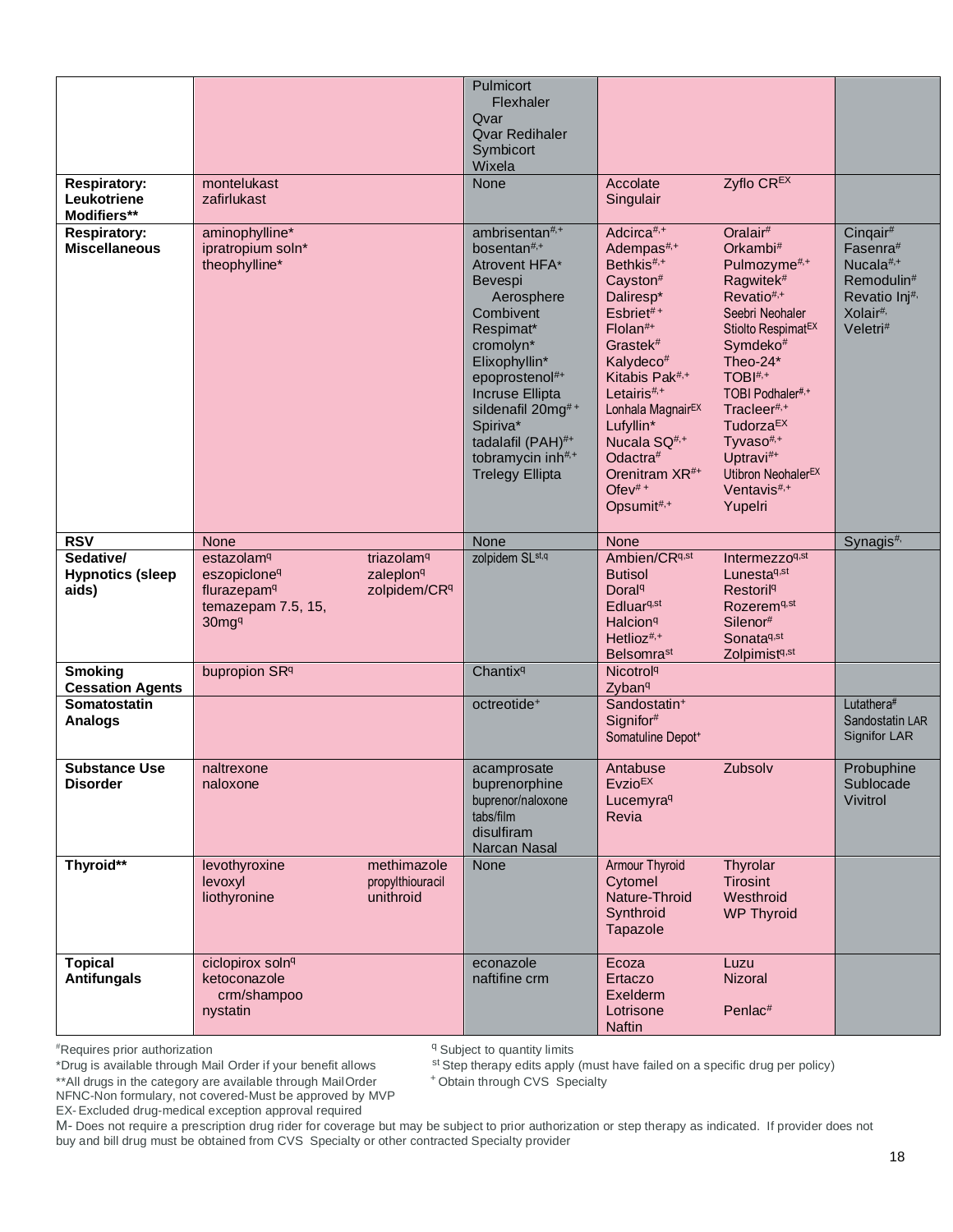| <b>Respiratory:</b><br>Leukotriene<br>Modifiers** | montelukast<br>zafirlukast                                                                                             |                                                                 | Pulmicort<br>Flexhaler<br>Qvar<br><b>Ovar Redihaler</b><br>Symbicort<br>Wixela<br>None                                                                                                                                                                                                                               | Accolate<br>Singulair                                                                                                                                                                                                                                                                                                                                                | Zyflo CREX                                                                                                                                                                                                                                                                                                                                                                                      |                                                                                                                                          |
|---------------------------------------------------|------------------------------------------------------------------------------------------------------------------------|-----------------------------------------------------------------|----------------------------------------------------------------------------------------------------------------------------------------------------------------------------------------------------------------------------------------------------------------------------------------------------------------------|----------------------------------------------------------------------------------------------------------------------------------------------------------------------------------------------------------------------------------------------------------------------------------------------------------------------------------------------------------------------|-------------------------------------------------------------------------------------------------------------------------------------------------------------------------------------------------------------------------------------------------------------------------------------------------------------------------------------------------------------------------------------------------|------------------------------------------------------------------------------------------------------------------------------------------|
| <b>Respiratory:</b><br><b>Miscellaneous</b>       | aminophylline*<br>ipratropium soln*<br>theophylline*                                                                   |                                                                 | ambrisentan <sup>#,+</sup><br>bosentan <sup>#,+</sup><br>Atrovent HFA*<br><b>Bevespi</b><br>Aerosphere<br>Combivent<br>Respimat*<br>cromolyn*<br>Elixophyllin*<br>epoprostenol#+<br>Incruse Ellipta<br>sildenafil 20mg#+<br>Spiriva*<br>tadalafil (PAH)#+<br>tobramycin inh <sup>#,+</sup><br><b>Trelegy Ellipta</b> | Adcirca#,+<br>Adempas <sup>#,+</sup><br>Bethkis <sup>#,+</sup><br>Cayston#<br>Daliresp*<br>Esbriet#+<br>$F$ lolan $#$ +<br>Grastek <sup>#</sup><br>Kalydeco#<br>Kitabis Pak <sup>#,+</sup><br>Letairis <sup>#,+</sup><br>Lonhala Magnair <sup>EX</sup><br>Lufyllin*<br>Nucala SQ <sup>#,+</sup><br>Odactra#<br>Orenitram XR <sup>#+</sup><br>Ofev $#+$<br>Opsumit#,+ | Oralair <sup>#</sup><br>Orkambi <sup>#</sup><br>Pulmozyme <sup>#,+</sup><br>Ragwitek <sup>#</sup><br>$Revatio#,+$<br>Seebri Neohaler<br>Stiolto Respimat <sup>EX</sup><br>Symdeko <sup>#</sup><br>Theo-24*<br>TOBI#,+<br>TOBI Podhaler#,+<br>Tracleer <sup>#,+</sup><br>Tudorza <sup>EX</sup><br>Tyvaso <sup>#,+</sup><br>Uptravi#+<br>Utibron NeohalerEX<br>Ventavis <sup>#,+</sup><br>Yupelri | Cinqair <sup>#</sup><br>Fasenra#<br>Nucala <sup>#,+</sup><br>Remodulin#<br>Revatio Inj <sup>#,</sup><br>Xolair <sup>#,</sup><br>Veletri# |
| <b>RSV</b>                                        | <b>None</b>                                                                                                            |                                                                 | None                                                                                                                                                                                                                                                                                                                 | None                                                                                                                                                                                                                                                                                                                                                                 |                                                                                                                                                                                                                                                                                                                                                                                                 | Synagis#,                                                                                                                                |
| Sedative/<br><b>Hypnotics (sleep</b><br>aids)     | estazolam <sup>q</sup><br>eszopiclone <sup>q</sup><br>flurazepam <sup>q</sup><br>temazepam 7.5, 15,<br>30 <sup>q</sup> | triazolam <sup>q</sup><br>zaleplon <sup>q</sup><br>zolpidem/CRq | zolpidem SL <sup>st,q</sup>                                                                                                                                                                                                                                                                                          | Ambien/CRq,st<br><b>Butisol</b><br>Doral <sup>q</sup><br>Edluar <sup>q,st</sup><br>Halcion <sup>q</sup><br>Hetlioz <sup>#,+</sup><br><b>Belsomrast</b>                                                                                                                                                                                                               | Intermezzoq,st<br>Lunesta <sup>q,st</sup><br><b>Restoril<sup>q</sup></b><br>Rozerem <sup>q,st</sup><br>Silenor#<br>Sonata <sup>q,st</sup><br>Zolpimistq,st                                                                                                                                                                                                                                      |                                                                                                                                          |
| <b>Smoking</b><br><b>Cessation Agents</b>         | bupropion SRq                                                                                                          |                                                                 | Chantix <sup>q</sup>                                                                                                                                                                                                                                                                                                 | <b>Nicotrol</b> <sup>q</sup><br>Zyban <sup>q</sup>                                                                                                                                                                                                                                                                                                                   |                                                                                                                                                                                                                                                                                                                                                                                                 |                                                                                                                                          |
| Somatostatin<br><b>Analogs</b>                    |                                                                                                                        |                                                                 | octreotide <sup>+</sup>                                                                                                                                                                                                                                                                                              | Sandostatin <sup>+</sup><br>Signifor#<br>Somatuline Depot <sup>+</sup>                                                                                                                                                                                                                                                                                               |                                                                                                                                                                                                                                                                                                                                                                                                 | Lutathera#<br>Sandostatin LAR<br><b>Signifor LAR</b>                                                                                     |
| <b>Substance Use</b><br><b>Disorder</b>           | naltrexone<br>naloxone                                                                                                 |                                                                 | acamprosate<br>buprenorphine<br>buprenor/naloxone<br>tabs/film<br>disulfiram<br>Narcan Nasal                                                                                                                                                                                                                         | Antabuse<br><b>EvzioEX</b><br>Lucemyraq<br>Revia                                                                                                                                                                                                                                                                                                                     | Zubsolv                                                                                                                                                                                                                                                                                                                                                                                         | Probuphine<br>Sublocade<br>Vivitrol                                                                                                      |
| Thyroid**                                         | levothyroxine<br>levoxyl<br>liothyronine                                                                               | methimazole<br>propylthiouracil<br>unithroid                    | None                                                                                                                                                                                                                                                                                                                 | Armour Thyroid<br>Cytomel<br>Nature-Throid<br>Synthroid<br>Tapazole                                                                                                                                                                                                                                                                                                  | Thyrolar<br>Tirosint<br>Westhroid<br><b>WP Thyroid</b>                                                                                                                                                                                                                                                                                                                                          |                                                                                                                                          |
| <b>Topical</b><br><b>Antifungals</b>              | ciclopirox soln <sup>q</sup><br>ketoconazole<br>crm/shampoo<br>nystatin                                                |                                                                 | econazole<br>naftifine crm                                                                                                                                                                                                                                                                                           | Ecoza<br>Ertaczo<br>Exelderm<br>Lotrisone<br><b>Naftin</b>                                                                                                                                                                                                                                                                                                           | Luzu<br>Nizoral<br>Penlac#                                                                                                                                                                                                                                                                                                                                                                      |                                                                                                                                          |

<sup>q</sup> Subject to quantity limits

st Step therapy edits apply (must have failed on a specific drug per policy)

+Obtain through CVS Specialty

\*\* All drugs in the category are available through Mail Order NFNC-Non formulary, not covered-Must be approved by MVP EX-Excluded drug-medical exception approval required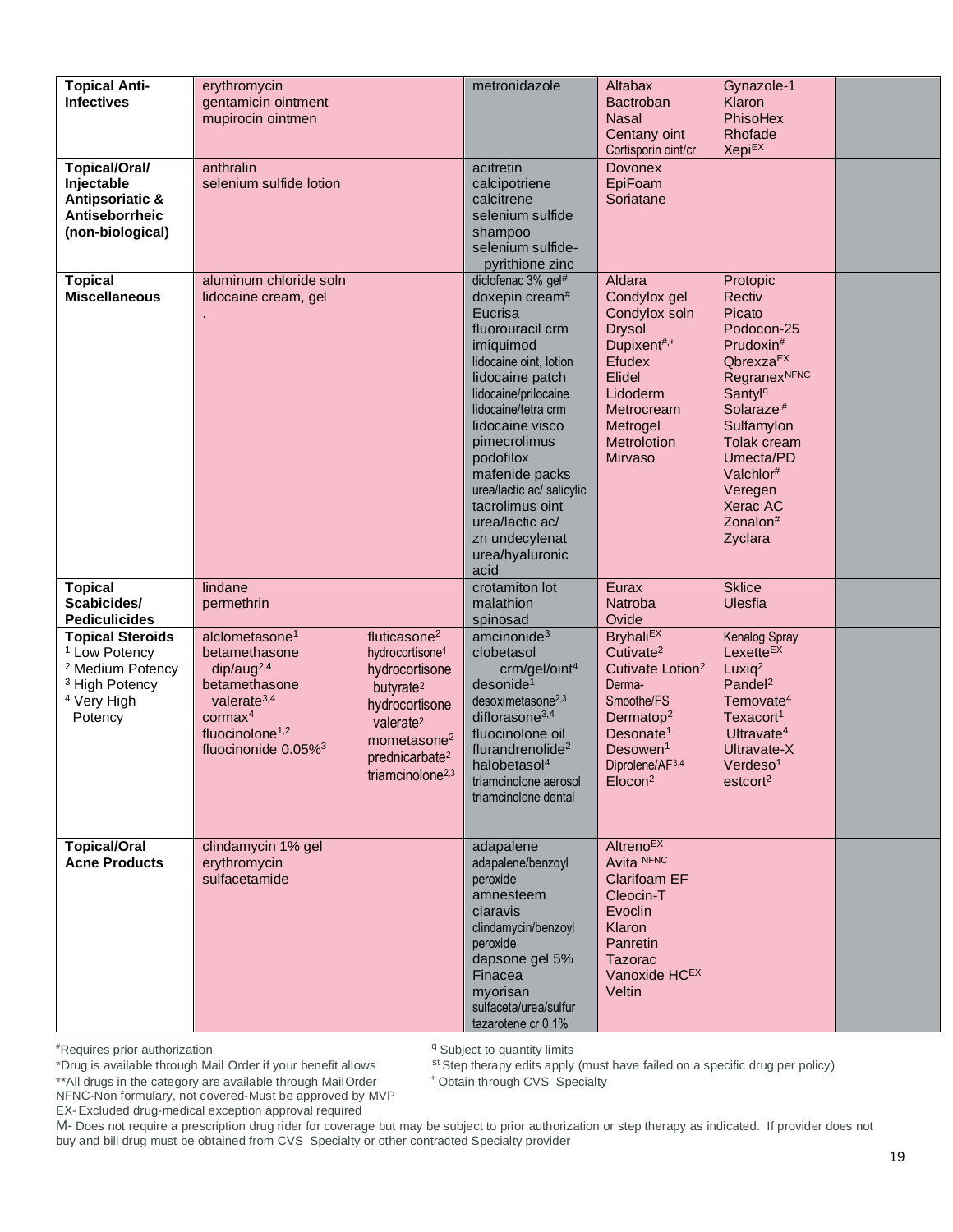| <b>Topical Anti-</b><br><b>Infectives</b><br><b>Topical/Oral/</b><br>Injectable                                                                      | erythromycin<br>gentamicin ointment<br>mupirocin ointmen<br>anthralin<br>selenium sulfide lotion                                                                                                                                                                                                                                                                                                                                      | metronidazole<br>acitretin<br>calcipotriene                                                                                                                                                                                                                                                                                                                                            | Altabax<br><b>Bactroban</b><br>Nasal<br>Centany oint<br>Cortisporin oint/cr<br><b>Dovonex</b><br>EpiFoam                                                                                                                            | Gynazole-1<br>Klaron<br>PhisoHex<br>Rhofade<br><b>Xepi<sup>EX</sup></b>                                                                                                                                                                                                             |  |
|------------------------------------------------------------------------------------------------------------------------------------------------------|---------------------------------------------------------------------------------------------------------------------------------------------------------------------------------------------------------------------------------------------------------------------------------------------------------------------------------------------------------------------------------------------------------------------------------------|----------------------------------------------------------------------------------------------------------------------------------------------------------------------------------------------------------------------------------------------------------------------------------------------------------------------------------------------------------------------------------------|-------------------------------------------------------------------------------------------------------------------------------------------------------------------------------------------------------------------------------------|-------------------------------------------------------------------------------------------------------------------------------------------------------------------------------------------------------------------------------------------------------------------------------------|--|
| <b>Antipsoriatic &amp;</b><br>Antiseborrheic<br>(non-biological)                                                                                     |                                                                                                                                                                                                                                                                                                                                                                                                                                       | calcitrene<br>selenium sulfide<br>shampoo<br>selenium sulfide-<br>pyrithione zinc                                                                                                                                                                                                                                                                                                      | Soriatane                                                                                                                                                                                                                           |                                                                                                                                                                                                                                                                                     |  |
| <b>Topical</b><br><b>Miscellaneous</b>                                                                                                               | aluminum chloride soln<br>lidocaine cream, gel                                                                                                                                                                                                                                                                                                                                                                                        | diclofenac 3% gel <sup>#</sup><br>doxepin cream <sup>#</sup><br>Eucrisa<br>fluorouracil crm<br>imiquimod<br>lidocaine oint, lotion<br>lidocaine patch<br>lidocaine/prilocaine<br>lidocaine/tetra crm<br>lidocaine visco<br>pimecrolimus<br>podofilox<br>mafenide packs<br>urea/lactic ac/ salicylic<br>tacrolimus oint<br>urea/lactic ac/<br>zn undecylenat<br>urea/hyaluronic<br>acid | Aldara<br>Condylox gel<br>Condylox soln<br><b>Drysol</b><br>Dupixent#,+<br><b>Efudex</b><br>Elidel<br>Lidoderm<br>Metrocream<br>Metrogel<br>Metrolotion<br>Mirvaso                                                                  | Protopic<br>Rectiv<br>Picato<br>Podocon-25<br>Prudoxin#<br>Qbrexza <sup>EX</sup><br><b>Regranex<sup>NFNC</sup></b><br>Santyl <sup>q</sup><br>Solaraze <sup>#</sup><br>Sulfamylon<br>Tolak cream<br>Umecta/PD<br>Valchlor#<br>Veregen<br>Xerac AC<br>Zonalon <sup>#</sup><br>Zyclara |  |
| <b>Topical</b><br>Scabicides/<br><b>Pediculicides</b>                                                                                                | lindane<br>permethrin                                                                                                                                                                                                                                                                                                                                                                                                                 | crotamiton lot<br>malathion<br>spinosad                                                                                                                                                                                                                                                                                                                                                | Eurax<br><b>Natroba</b><br>Ovide                                                                                                                                                                                                    | <b>Sklice</b><br>Ulesfia                                                                                                                                                                                                                                                            |  |
| <b>Topical Steroids</b><br><sup>1</sup> Low Potency<br><sup>2</sup> Medium Potency<br><sup>3</sup> High Potency<br><sup>4</sup> Very High<br>Potency | alclometasone <sup>1</sup><br>fluticasone <sup>2</sup><br>betamethasone<br>hydrocortisone <sup>1</sup><br>dip/aug <sup>2,4</sup><br>hydrocortisone<br>betamethasone<br>butyrate <sup>2</sup><br>valerate $3,4$<br>hydrocortisone<br>cornax <sup>4</sup><br>valerate <sup>2</sup><br>fluocinolone $1,2$<br>mometasone <sup>2</sup><br>fluocinonide $0.05\%$ <sup>3</sup><br>prednicarbate <sup>2</sup><br>triamcinolone <sup>2,3</sup> | amcinonide <sup>3</sup><br>clobetasol<br>crm/gel/oint <sup>4</sup><br>desonide <sup>1</sup><br>desoximetasone <sup>2,3</sup><br>diflorasone $3,4$<br>fluocinolone oil<br>flurandrenolide <sup>2</sup><br>halobetasol <sup>4</sup><br>triamcinolone aerosol<br>triamcinolone dental                                                                                                     | <b>Bryhali<sup>EX</sup></b><br>Cutivate <sup>2</sup><br>Cutivate Lotion <sup>2</sup><br>Derma-<br>Smoothe/FS<br>Dermatop <sup>2</sup><br>Desonate <sup>1</sup><br>Desowen <sup>1</sup><br>Diprolene/ $AF3,4$<br>Elocon <sup>2</sup> | <b>Kenalog Spray</b><br>Lexette <sup>EX</sup><br>Luxiq $2$<br>Pandel <sup>2</sup><br>Temovate <sup>4</sup><br>Texacort <sup>1</sup><br>Ultravate <sup>4</sup><br>Ultravate-X<br>Verdeso <sup>1</sup><br>estcort <sup>2</sup>                                                        |  |
| <b>Topical/Oral</b><br><b>Acne Products</b>                                                                                                          | clindamycin 1% gel<br>erythromycin<br>sulfacetamide                                                                                                                                                                                                                                                                                                                                                                                   | adapalene<br>adapalene/benzoyl<br>peroxide<br>amnesteem<br>claravis<br>clindamycin/benzoyl<br>peroxide<br>dapsone gel 5%<br>Finacea<br>myorisan<br>sulfaceta/urea/sulfur<br>tazarotene cr $\theta$ 1%                                                                                                                                                                                  | <b>Altreno<sup>EX</sup></b><br>Avita NFNC<br><b>Clarifoam EF</b><br>Cleocin-T<br>Evoclin<br>Klaron<br>Panretin<br><b>Tazorac</b><br>Vanoxide HCEX<br>Veltin                                                                         |                                                                                                                                                                                                                                                                                     |  |

\*Drug is available through Mail Order if your benefit allows

<sup>q</sup> Subject to quantity limits

st Step therapy edits apply (must have failed on a specific drug per policy)

+Obtain through CVS Specialty

\*\* All drugs in the category are available through Mail Order NFNC-Non formulary, not covered-Must be approved by MVP

EX-Excluded drug-medical exception approval required